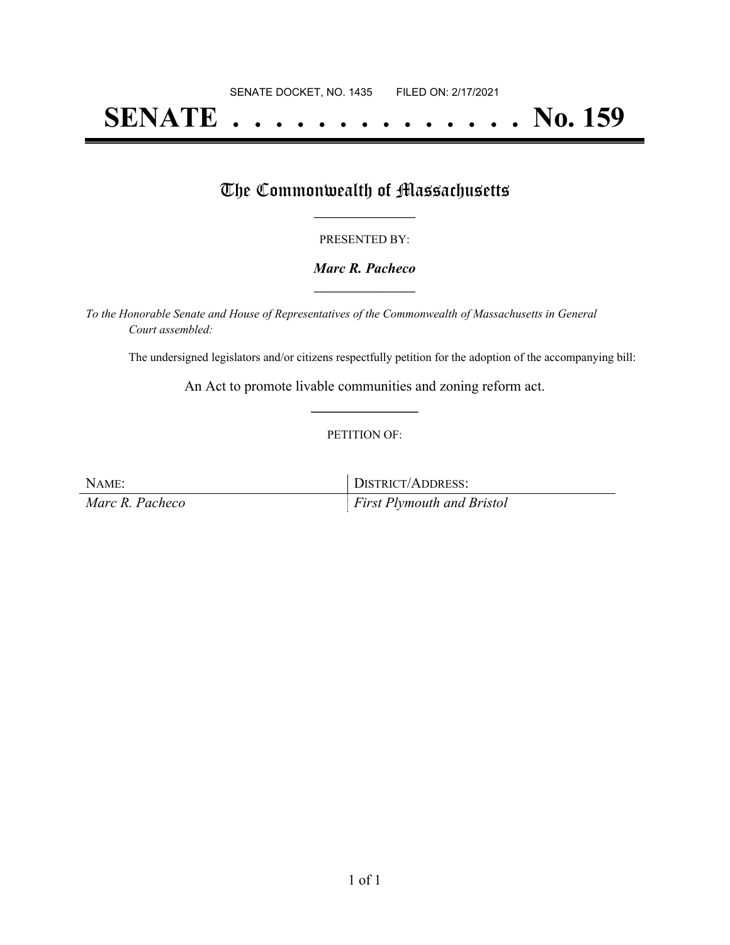# **SENATE . . . . . . . . . . . . . . No. 159**

## The Commonwealth of Massachusetts

### PRESENTED BY:

### *Marc R. Pacheco* **\_\_\_\_\_\_\_\_\_\_\_\_\_\_\_\_\_**

*To the Honorable Senate and House of Representatives of the Commonwealth of Massachusetts in General Court assembled:*

The undersigned legislators and/or citizens respectfully petition for the adoption of the accompanying bill:

An Act to promote livable communities and zoning reform act. **\_\_\_\_\_\_\_\_\_\_\_\_\_\_\_**

#### PETITION OF:

NAME: DISTRICT/ADDRESS: *Marc R. Pacheco First Plymouth and Bristol*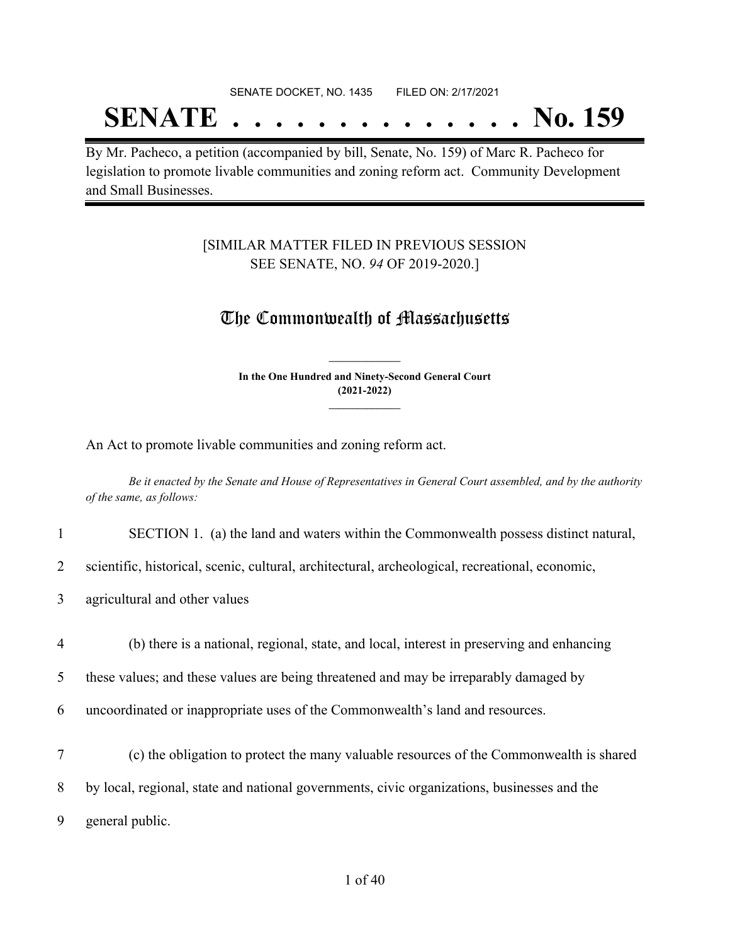# SENATE DOCKET, NO. 1435 FILED ON: 2/17/2021

# **SENATE . . . . . . . . . . . . . . No. 159**

By Mr. Pacheco, a petition (accompanied by bill, Senate, No. 159) of Marc R. Pacheco for legislation to promote livable communities and zoning reform act. Community Development and Small Businesses.

## [SIMILAR MATTER FILED IN PREVIOUS SESSION SEE SENATE, NO. *94* OF 2019-2020.]

## The Commonwealth of Massachusetts

**In the One Hundred and Ninety-Second General Court (2021-2022) \_\_\_\_\_\_\_\_\_\_\_\_\_\_\_**

**\_\_\_\_\_\_\_\_\_\_\_\_\_\_\_**

An Act to promote livable communities and zoning reform act.

Be it enacted by the Senate and House of Representatives in General Court assembled, and by the authority *of the same, as follows:*

1 SECTION 1. (a) the land and waters within the Commonwealth possess distinct natural,

2 scientific, historical, scenic, cultural, architectural, archeological, recreational, economic,

- 3 agricultural and other values
- 4 (b) there is a national, regional, state, and local, interest in preserving and enhancing

5 these values; and these values are being threatened and may be irreparably damaged by

- 6 uncoordinated or inappropriate uses of the Commonwealth's land and resources.
- 7 (c) the obligation to protect the many valuable resources of the Commonwealth is shared 8 by local, regional, state and national governments, civic organizations, businesses and the 9 general public.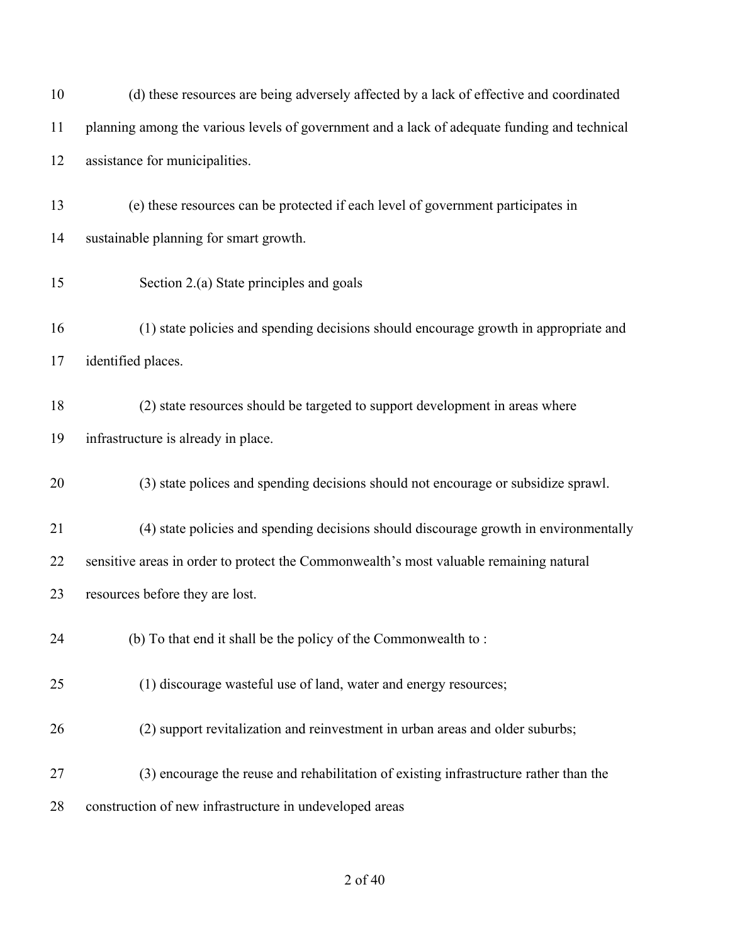| 10 | (d) these resources are being adversely affected by a lack of effective and coordinated      |
|----|----------------------------------------------------------------------------------------------|
| 11 | planning among the various levels of government and a lack of adequate funding and technical |
| 12 | assistance for municipalities.                                                               |
| 13 | (e) these resources can be protected if each level of government participates in             |
| 14 | sustainable planning for smart growth.                                                       |
| 15 | Section 2.(a) State principles and goals                                                     |
| 16 | (1) state policies and spending decisions should encourage growth in appropriate and         |
| 17 | identified places.                                                                           |
| 18 | (2) state resources should be targeted to support development in areas where                 |
| 19 | infrastructure is already in place.                                                          |
| 20 | (3) state polices and spending decisions should not encourage or subsidize sprawl.           |
| 21 | (4) state policies and spending decisions should discourage growth in environmentally        |
| 22 | sensitive areas in order to protect the Commonwealth's most valuable remaining natural       |
| 23 | resources before they are lost.                                                              |
| 24 | (b) To that end it shall be the policy of the Commonwealth to:                               |
| 25 | (1) discourage wasteful use of land, water and energy resources;                             |
| 26 | (2) support revitalization and reinvestment in urban areas and older suburbs;                |
| 27 | (3) encourage the reuse and rehabilitation of existing infrastructure rather than the        |
| 28 | construction of new infrastructure in undeveloped areas                                      |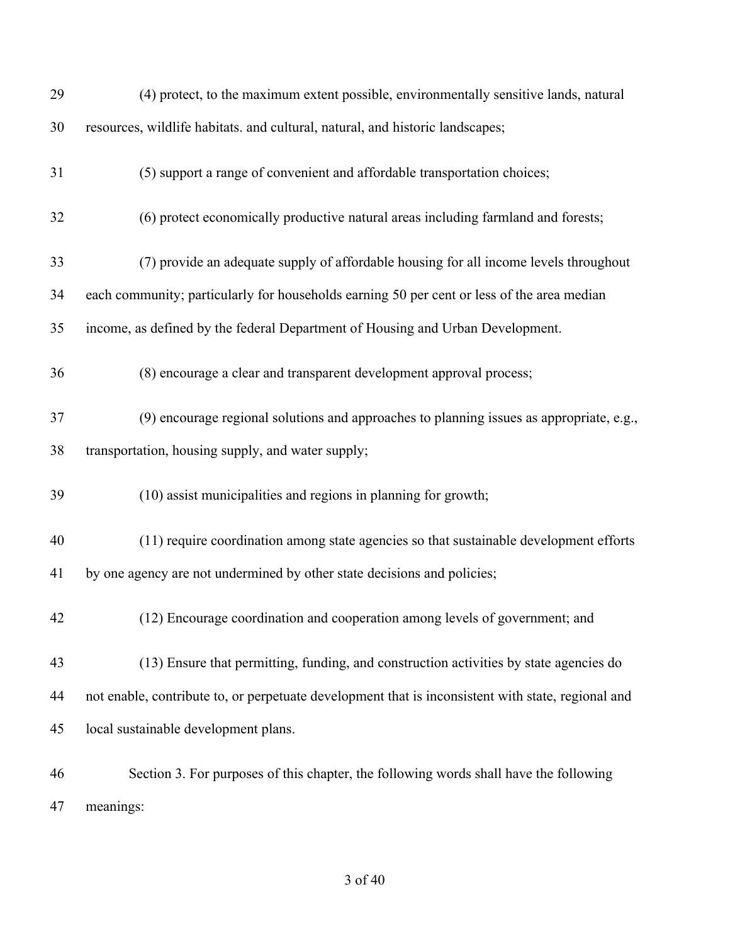| 29 | (4) protect, to the maximum extent possible, environmentally sensitive lands, natural              |
|----|----------------------------------------------------------------------------------------------------|
| 30 | resources, wildlife habitats. and cultural, natural, and historic landscapes;                      |
| 31 | (5) support a range of convenient and affordable transportation choices;                           |
| 32 | (6) protect economically productive natural areas including farmland and forests;                  |
| 33 | (7) provide an adequate supply of affordable housing for all income levels throughout              |
| 34 | each community; particularly for households earning 50 per cent or less of the area median         |
| 35 | income, as defined by the federal Department of Housing and Urban Development.                     |
| 36 | (8) encourage a clear and transparent development approval process;                                |
| 37 | (9) encourage regional solutions and approaches to planning issues as appropriate, e.g.,           |
| 38 | transportation, housing supply, and water supply;                                                  |
| 39 | (10) assist municipalities and regions in planning for growth;                                     |
| 40 | (11) require coordination among state agencies so that sustainable development efforts             |
| 41 | by one agency are not undermined by other state decisions and policies;                            |
| 42 | (12) Encourage coordination and cooperation among levels of government; and                        |
| 43 | (13) Ensure that permitting, funding, and construction activities by state agencies do             |
| 44 | not enable, contribute to, or perpetuate development that is inconsistent with state, regional and |
| 45 | local sustainable development plans.                                                               |
| 46 | Section 3. For purposes of this chapter, the following words shall have the following              |
| 47 | meanings:                                                                                          |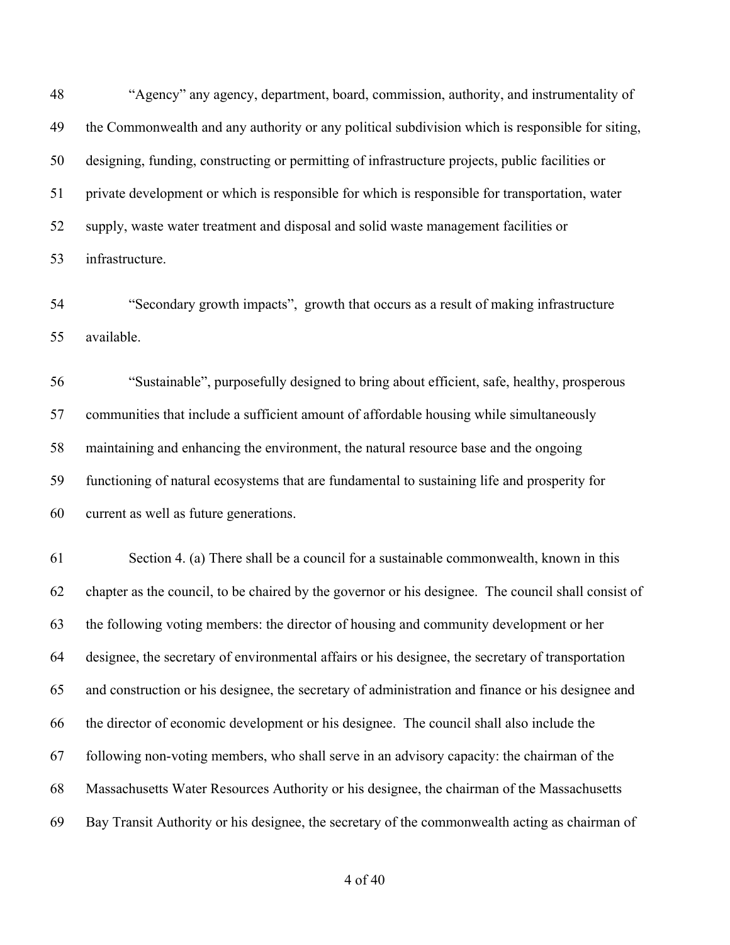"Agency" any agency, department, board, commission, authority, and instrumentality of the Commonwealth and any authority or any political subdivision which is responsible for siting, designing, funding, constructing or permitting of infrastructure projects, public facilities or private development or which is responsible for which is responsible for transportation, water supply, waste water treatment and disposal and solid waste management facilities or infrastructure.

 "Secondary growth impacts", growth that occurs as a result of making infrastructure available.

 "Sustainable", purposefully designed to bring about efficient, safe, healthy, prosperous communities that include a sufficient amount of affordable housing while simultaneously maintaining and enhancing the environment, the natural resource base and the ongoing functioning of natural ecosystems that are fundamental to sustaining life and prosperity for current as well as future generations.

 Section 4. (a) There shall be a council for a sustainable commonwealth, known in this chapter as the council, to be chaired by the governor or his designee. The council shall consist of the following voting members: the director of housing and community development or her designee, the secretary of environmental affairs or his designee, the secretary of transportation and construction or his designee, the secretary of administration and finance or his designee and the director of economic development or his designee. The council shall also include the following non-voting members, who shall serve in an advisory capacity: the chairman of the Massachusetts Water Resources Authority or his designee, the chairman of the Massachusetts Bay Transit Authority or his designee, the secretary of the commonwealth acting as chairman of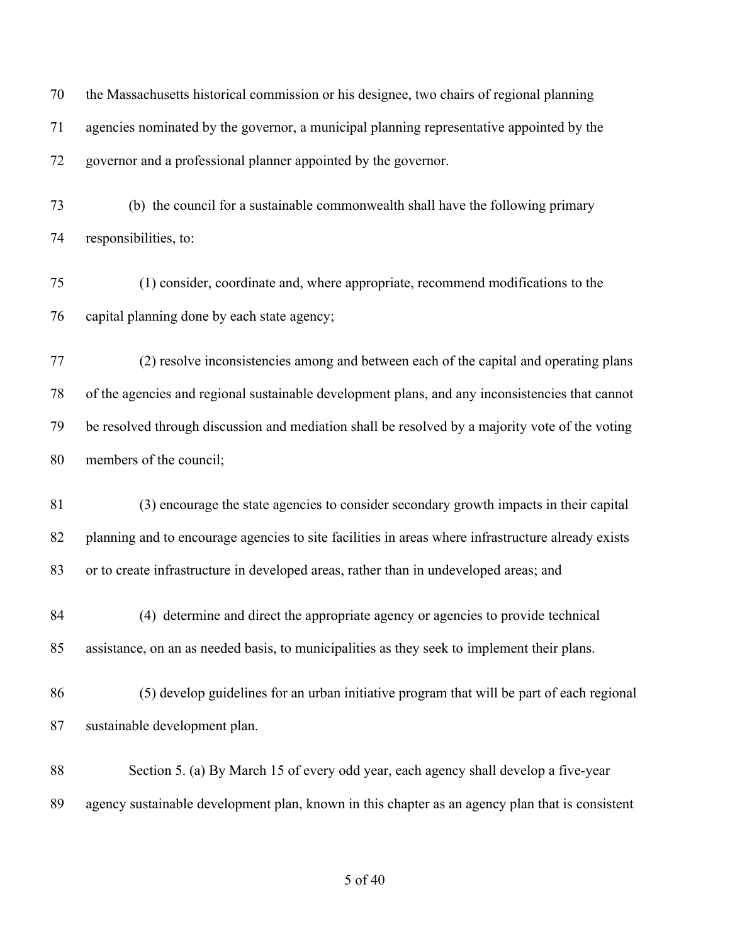the Massachusetts historical commission or his designee, two chairs of regional planning agencies nominated by the governor, a municipal planning representative appointed by the governor and a professional planner appointed by the governor. (b) the council for a sustainable commonwealth shall have the following primary responsibilities, to: 75 (1) consider, coordinate and, where appropriate, recommend modifications to the capital planning done by each state agency; 77 (2) resolve inconsistencies among and between each of the capital and operating plans of the agencies and regional sustainable development plans, and any inconsistencies that cannot be resolved through discussion and mediation shall be resolved by a majority vote of the voting members of the council; 81 (3) encourage the state agencies to consider secondary growth impacts in their capital planning and to encourage agencies to site facilities in areas where infrastructure already exists or to create infrastructure in developed areas, rather than in undeveloped areas; and 84 (4) determine and direct the appropriate agency or agencies to provide technical assistance, on an as needed basis, to municipalities as they seek to implement their plans. 86 (5) develop guidelines for an urban initiative program that will be part of each regional sustainable development plan. Section 5. (a) By March 15 of every odd year, each agency shall develop a five-year agency sustainable development plan, known in this chapter as an agency plan that is consistent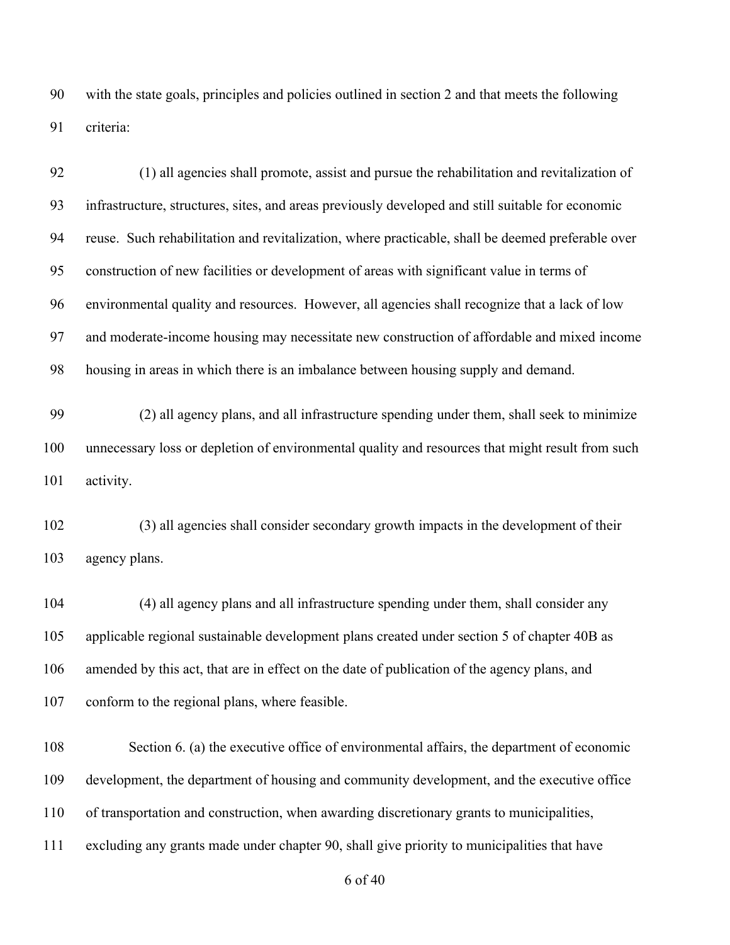with the state goals, principles and policies outlined in section 2 and that meets the following criteria:

92 (1) all agencies shall promote, assist and pursue the rehabilitation and revitalization of infrastructure, structures, sites, and areas previously developed and still suitable for economic reuse. Such rehabilitation and revitalization, where practicable, shall be deemed preferable over construction of new facilities or development of areas with significant value in terms of environmental quality and resources. However, all agencies shall recognize that a lack of low and moderate-income housing may necessitate new construction of affordable and mixed income housing in areas in which there is an imbalance between housing supply and demand.

99 (2) all agency plans, and all infrastructure spending under them, shall seek to minimize unnecessary loss or depletion of environmental quality and resources that might result from such activity.

102 (3) all agencies shall consider secondary growth impacts in the development of their agency plans.

104 (4) all agency plans and all infrastructure spending under them, shall consider any applicable regional sustainable development plans created under section 5 of chapter 40B as amended by this act, that are in effect on the date of publication of the agency plans, and conform to the regional plans, where feasible.

 Section 6. (a) the executive office of environmental affairs, the department of economic development, the department of housing and community development, and the executive office of transportation and construction, when awarding discretionary grants to municipalities, excluding any grants made under chapter 90, shall give priority to municipalities that have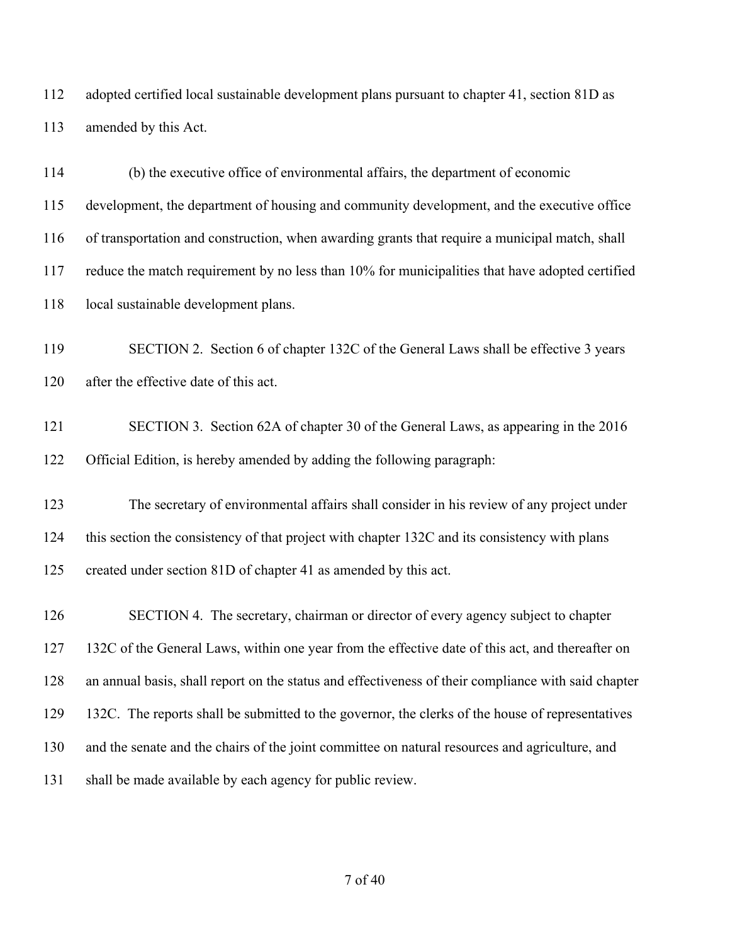adopted certified local sustainable development plans pursuant to chapter 41, section 81D as amended by this Act.

 (b) the executive office of environmental affairs, the department of economic development, the department of housing and community development, and the executive office of transportation and construction, when awarding grants that require a municipal match, shall reduce the match requirement by no less than 10% for municipalities that have adopted certified 118 local sustainable development plans.

 SECTION 2. Section 6 of chapter 132C of the General Laws shall be effective 3 years after the effective date of this act.

 SECTION 3. Section 62A of chapter 30 of the General Laws, as appearing in the 2016 Official Edition, is hereby amended by adding the following paragraph:

 The secretary of environmental affairs shall consider in his review of any project under this section the consistency of that project with chapter 132C and its consistency with plans created under section 81D of chapter 41 as amended by this act.

 SECTION 4. The secretary, chairman or director of every agency subject to chapter 132C of the General Laws, within one year from the effective date of this act, and thereafter on an annual basis, shall report on the status and effectiveness of their compliance with said chapter 132C. The reports shall be submitted to the governor, the clerks of the house of representatives and the senate and the chairs of the joint committee on natural resources and agriculture, and shall be made available by each agency for public review.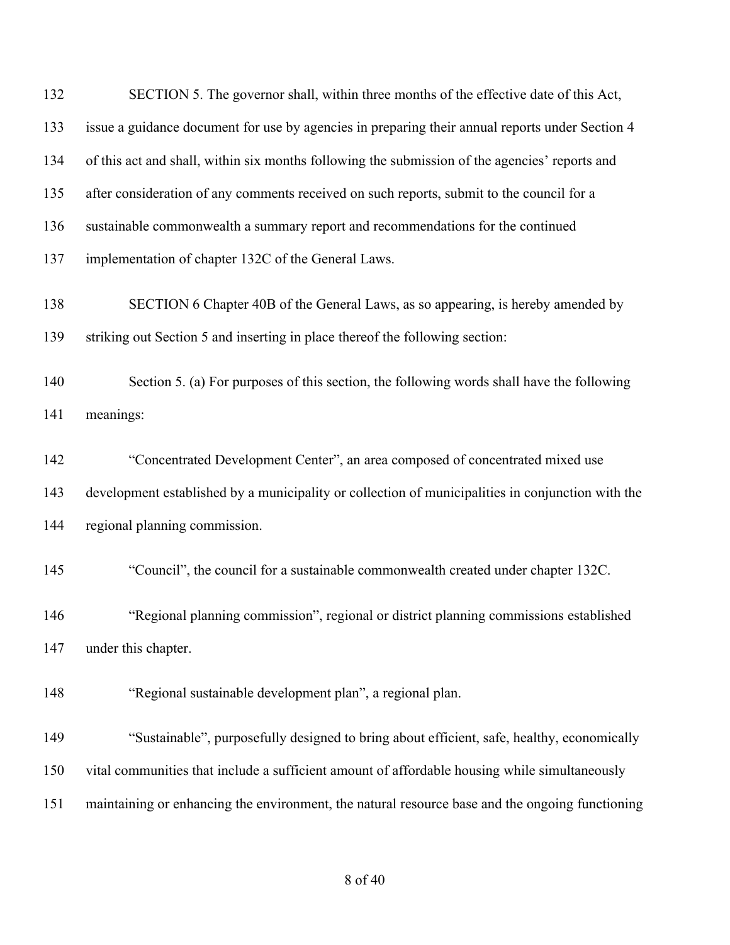| 132 | SECTION 5. The governor shall, within three months of the effective date of this Act,             |
|-----|---------------------------------------------------------------------------------------------------|
| 133 | issue a guidance document for use by agencies in preparing their annual reports under Section 4   |
| 134 | of this act and shall, within six months following the submission of the agencies' reports and    |
| 135 | after consideration of any comments received on such reports, submit to the council for a         |
| 136 | sustainable commonwealth a summary report and recommendations for the continued                   |
| 137 | implementation of chapter 132C of the General Laws.                                               |
| 138 | SECTION 6 Chapter 40B of the General Laws, as so appearing, is hereby amended by                  |
| 139 | striking out Section 5 and inserting in place thereof the following section:                      |
| 140 | Section 5. (a) For purposes of this section, the following words shall have the following         |
| 141 | meanings:                                                                                         |
| 142 | "Concentrated Development Center", an area composed of concentrated mixed use                     |
| 143 | development established by a municipality or collection of municipalities in conjunction with the |
| 144 | regional planning commission.                                                                     |
| 145 | "Council", the council for a sustainable commonwealth created under chapter 132C.                 |
| 146 | "Regional planning commission", regional or district planning commissions established             |
| 147 | under this chapter.                                                                               |
| 148 | "Regional sustainable development plan", a regional plan.                                         |
| 149 | "Sustainable", purposefully designed to bring about efficient, safe, healthy, economically        |
| 150 | vital communities that include a sufficient amount of affordable housing while simultaneously     |
| 151 | maintaining or enhancing the environment, the natural resource base and the ongoing functioning   |
|     |                                                                                                   |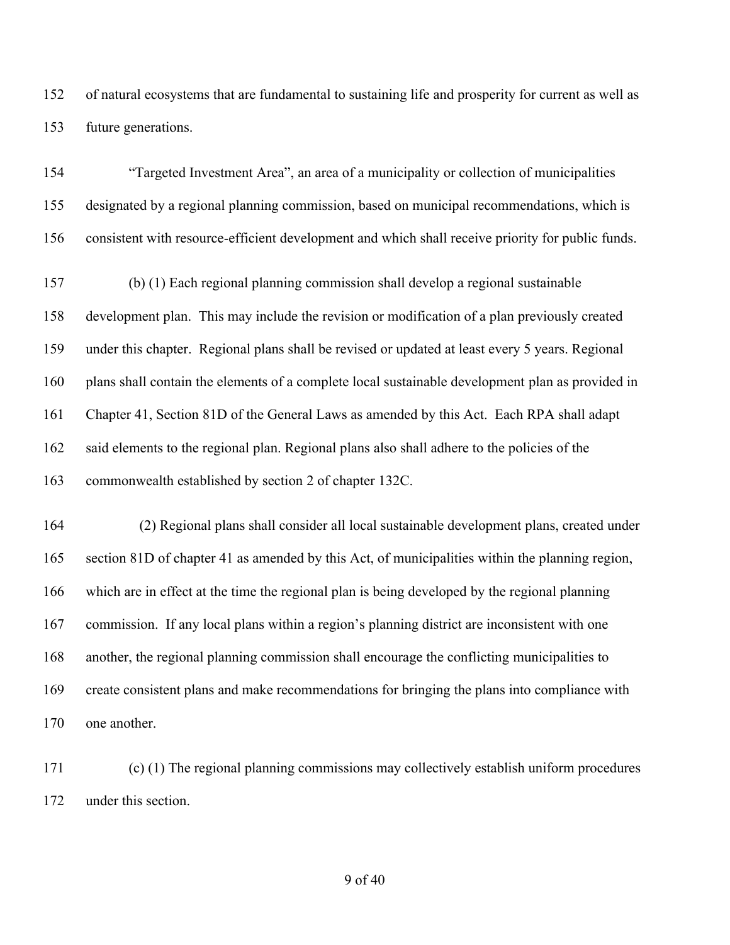of natural ecosystems that are fundamental to sustaining life and prosperity for current as well as future generations.

 "Targeted Investment Area", an area of a municipality or collection of municipalities designated by a regional planning commission, based on municipal recommendations, which is consistent with resource-efficient development and which shall receive priority for public funds.

 (b) (1) Each regional planning commission shall develop a regional sustainable development plan. This may include the revision or modification of a plan previously created under this chapter. Regional plans shall be revised or updated at least every 5 years. Regional plans shall contain the elements of a complete local sustainable development plan as provided in Chapter 41, Section 81D of the General Laws as amended by this Act. Each RPA shall adapt said elements to the regional plan. Regional plans also shall adhere to the policies of the commonwealth established by section 2 of chapter 132C.

164 (2) Regional plans shall consider all local sustainable development plans, created under section 81D of chapter 41 as amended by this Act, of municipalities within the planning region, which are in effect at the time the regional plan is being developed by the regional planning commission. If any local plans within a region's planning district are inconsistent with one another, the regional planning commission shall encourage the conflicting municipalities to create consistent plans and make recommendations for bringing the plans into compliance with one another.

 (c) (1) The regional planning commissions may collectively establish uniform procedures under this section.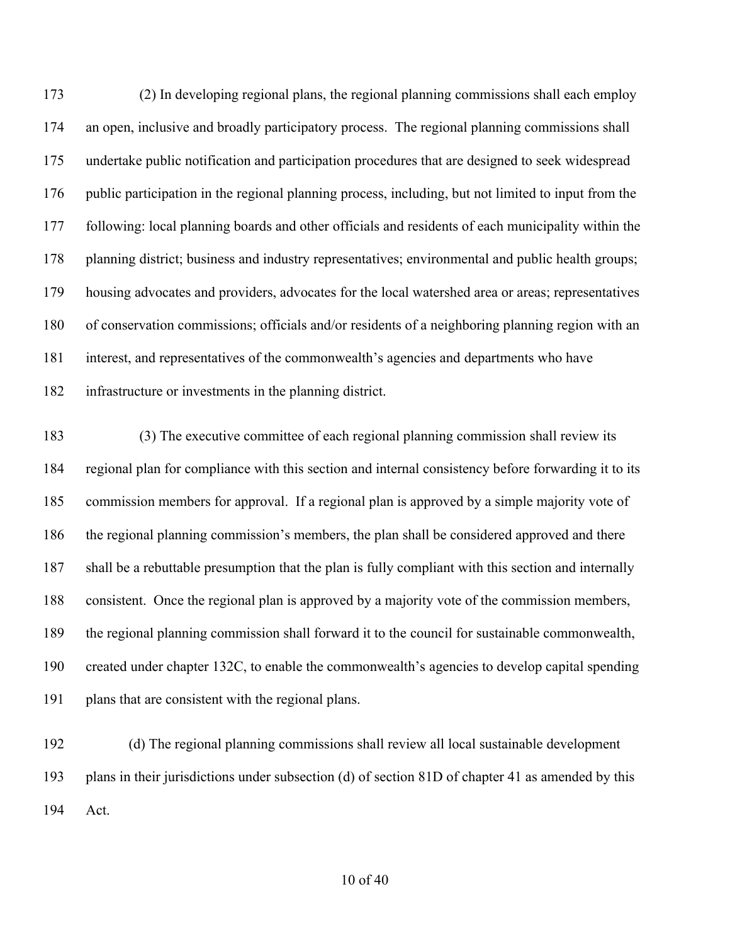173 (2) In developing regional plans, the regional planning commissions shall each employ an open, inclusive and broadly participatory process. The regional planning commissions shall undertake public notification and participation procedures that are designed to seek widespread public participation in the regional planning process, including, but not limited to input from the following: local planning boards and other officials and residents of each municipality within the planning district; business and industry representatives; environmental and public health groups; housing advocates and providers, advocates for the local watershed area or areas; representatives of conservation commissions; officials and/or residents of a neighboring planning region with an interest, and representatives of the commonwealth's agencies and departments who have infrastructure or investments in the planning district.

183 (3) The executive committee of each regional planning commission shall review its regional plan for compliance with this section and internal consistency before forwarding it to its commission members for approval. If a regional plan is approved by a simple majority vote of the regional planning commission's members, the plan shall be considered approved and there shall be a rebuttable presumption that the plan is fully compliant with this section and internally consistent. Once the regional plan is approved by a majority vote of the commission members, the regional planning commission shall forward it to the council for sustainable commonwealth, created under chapter 132C, to enable the commonwealth's agencies to develop capital spending plans that are consistent with the regional plans.

 (d) The regional planning commissions shall review all local sustainable development plans in their jurisdictions under subsection (d) of section 81D of chapter 41 as amended by this Act.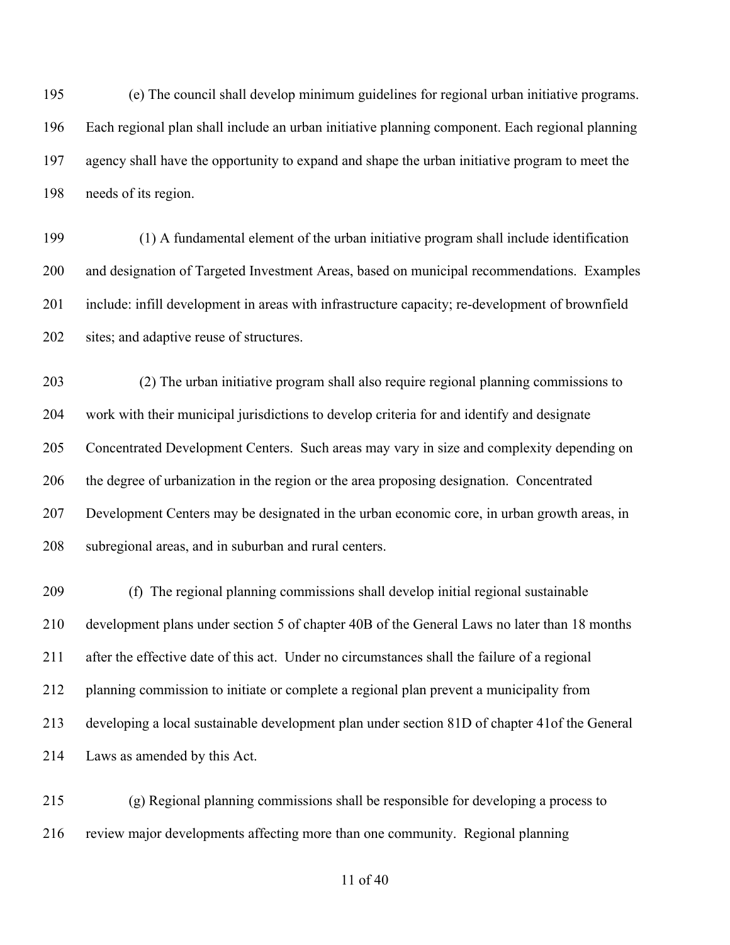(e) The council shall develop minimum guidelines for regional urban initiative programs. Each regional plan shall include an urban initiative planning component. Each regional planning agency shall have the opportunity to expand and shape the urban initiative program to meet the needs of its region.

199 (1) A fundamental element of the urban initiative program shall include identification and designation of Targeted Investment Areas, based on municipal recommendations. Examples include: infill development in areas with infrastructure capacity; re-development of brownfield 202 sites; and adaptive reuse of structures.

203 (2) The urban initiative program shall also require regional planning commissions to work with their municipal jurisdictions to develop criteria for and identify and designate Concentrated Development Centers. Such areas may vary in size and complexity depending on the degree of urbanization in the region or the area proposing designation. Concentrated Development Centers may be designated in the urban economic core, in urban growth areas, in subregional areas, and in suburban and rural centers.

 (f) The regional planning commissions shall develop initial regional sustainable development plans under section 5 of chapter 40B of the General Laws no later than 18 months after the effective date of this act. Under no circumstances shall the failure of a regional planning commission to initiate or complete a regional plan prevent a municipality from developing a local sustainable development plan under section 81D of chapter 41of the General Laws as amended by this Act.

 (g) Regional planning commissions shall be responsible for developing a process to review major developments affecting more than one community. Regional planning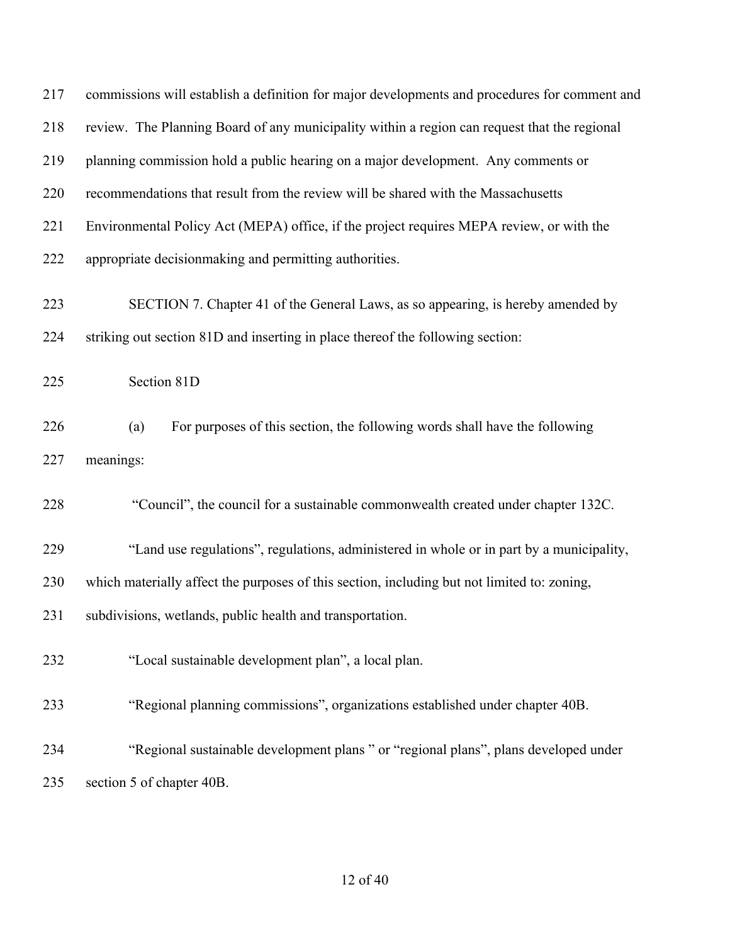| 217 | commissions will establish a definition for major developments and procedures for comment and |
|-----|-----------------------------------------------------------------------------------------------|
| 218 | review. The Planning Board of any municipality within a region can request that the regional  |
| 219 | planning commission hold a public hearing on a major development. Any comments or             |
| 220 | recommendations that result from the review will be shared with the Massachusetts             |
| 221 | Environmental Policy Act (MEPA) office, if the project requires MEPA review, or with the      |
| 222 | appropriate decisionmaking and permitting authorities.                                        |
| 223 | SECTION 7. Chapter 41 of the General Laws, as so appearing, is hereby amended by              |
| 224 | striking out section 81D and inserting in place thereof the following section:                |
| 225 | Section 81D                                                                                   |
| 226 | For purposes of this section, the following words shall have the following<br>(a)             |
| 227 | meanings:                                                                                     |
| 228 | "Council", the council for a sustainable commonwealth created under chapter 132C.             |
| 229 | "Land use regulations", regulations, administered in whole or in part by a municipality,      |
| 230 | which materially affect the purposes of this section, including but not limited to: zoning,   |
| 231 | subdivisions, wetlands, public health and transportation.                                     |
| 232 | "Local sustainable development plan", a local plan.                                           |
| 233 | "Regional planning commissions", organizations established under chapter 40B.                 |
| 234 | "Regional sustainable development plans " or "regional plans", plans developed under          |
| 235 | section 5 of chapter 40B.                                                                     |
|     |                                                                                               |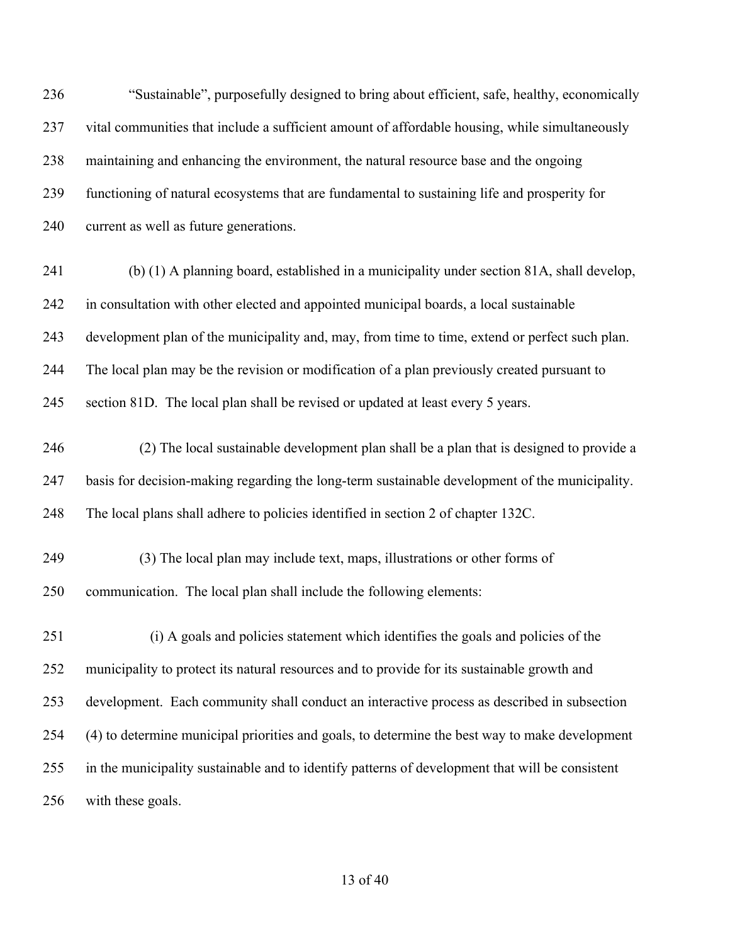"Sustainable", purposefully designed to bring about efficient, safe, healthy, economically vital communities that include a sufficient amount of affordable housing, while simultaneously maintaining and enhancing the environment, the natural resource base and the ongoing functioning of natural ecosystems that are fundamental to sustaining life and prosperity for current as well as future generations.

- (b) (1) A planning board, established in a municipality under section 81A, shall develop, in consultation with other elected and appointed municipal boards, a local sustainable development plan of the municipality and, may, from time to time, extend or perfect such plan. The local plan may be the revision or modification of a plan previously created pursuant to section 81D. The local plan shall be revised or updated at least every 5 years.
- 246 (2) The local sustainable development plan shall be a plan that is designed to provide a basis for decision-making regarding the long-term sustainable development of the municipality. The local plans shall adhere to policies identified in section 2 of chapter 132C.
- 249 (3) The local plan may include text, maps, illustrations or other forms of communication. The local plan shall include the following elements:
- 251 (i) A goals and policies statement which identifies the goals and policies of the municipality to protect its natural resources and to provide for its sustainable growth and development. Each community shall conduct an interactive process as described in subsection (4) to determine municipal priorities and goals, to determine the best way to make development in the municipality sustainable and to identify patterns of development that will be consistent with these goals.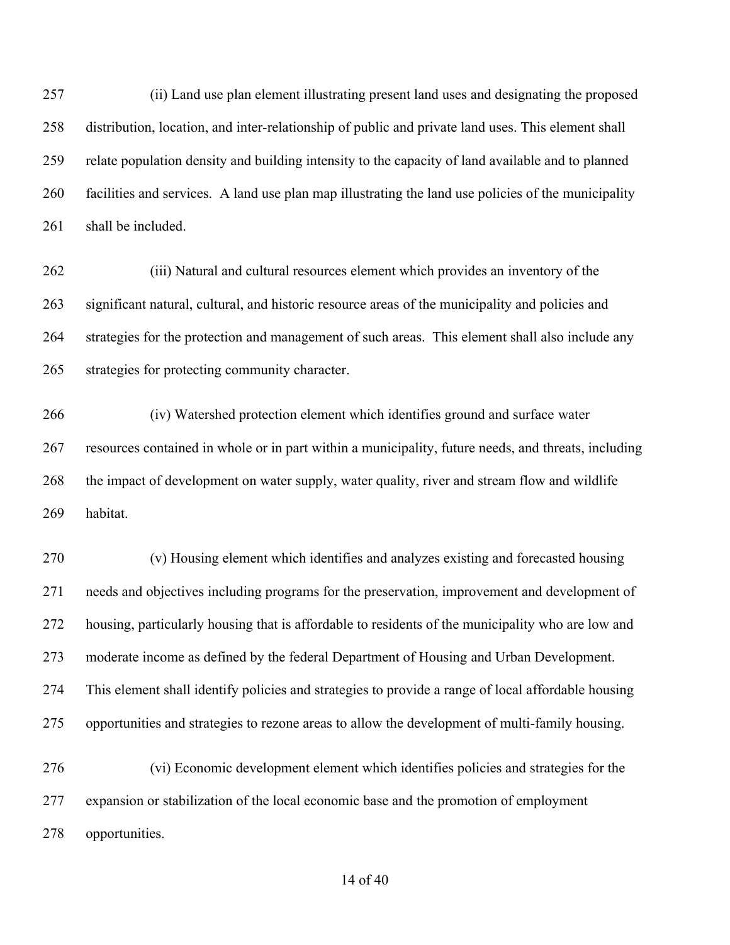257 (ii) Land use plan element illustrating present land uses and designating the proposed distribution, location, and inter-relationship of public and private land uses. This element shall relate population density and building intensity to the capacity of land available and to planned facilities and services. A land use plan map illustrating the land use policies of the municipality 261 shall be included.

262 (iii) Natural and cultural resources element which provides an inventory of the significant natural, cultural, and historic resource areas of the municipality and policies and strategies for the protection and management of such areas. This element shall also include any strategies for protecting community character.

266 (iv) Watershed protection element which identifies ground and surface water resources contained in whole or in part within a municipality, future needs, and threats, including the impact of development on water supply, water quality, river and stream flow and wildlife habitat.

270 (v) Housing element which identifies and analyzes existing and forecasted housing needs and objectives including programs for the preservation, improvement and development of housing, particularly housing that is affordable to residents of the municipality who are low and moderate income as defined by the federal Department of Housing and Urban Development. This element shall identify policies and strategies to provide a range of local affordable housing opportunities and strategies to rezone areas to allow the development of multi-family housing.

276 (vi) Economic development element which identifies policies and strategies for the expansion or stabilization of the local economic base and the promotion of employment opportunities.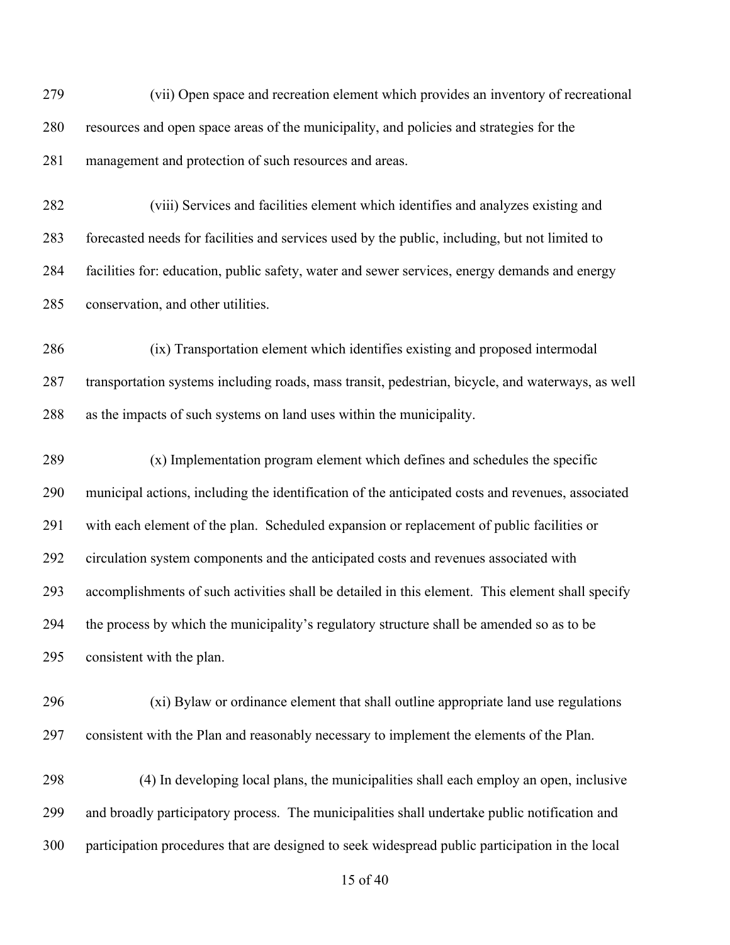279 (vii) Open space and recreation element which provides an inventory of recreational resources and open space areas of the municipality, and policies and strategies for the management and protection of such resources and areas.

282 (viii) Services and facilities element which identifies and analyzes existing and forecasted needs for facilities and services used by the public, including, but not limited to facilities for: education, public safety, water and sewer services, energy demands and energy conservation, and other utilities.

286 (ix) Transportation element which identifies existing and proposed intermodal transportation systems including roads, mass transit, pedestrian, bicycle, and waterways, as well as the impacts of such systems on land uses within the municipality.

289 (x) Implementation program element which defines and schedules the specific municipal actions, including the identification of the anticipated costs and revenues, associated with each element of the plan. Scheduled expansion or replacement of public facilities or circulation system components and the anticipated costs and revenues associated with accomplishments of such activities shall be detailed in this element. This element shall specify the process by which the municipality's regulatory structure shall be amended so as to be consistent with the plan.

296 (xi) Bylaw or ordinance element that shall outline appropriate land use regulations consistent with the Plan and reasonably necessary to implement the elements of the Plan.

298 (4) In developing local plans, the municipalities shall each employ an open, inclusive and broadly participatory process. The municipalities shall undertake public notification and participation procedures that are designed to seek widespread public participation in the local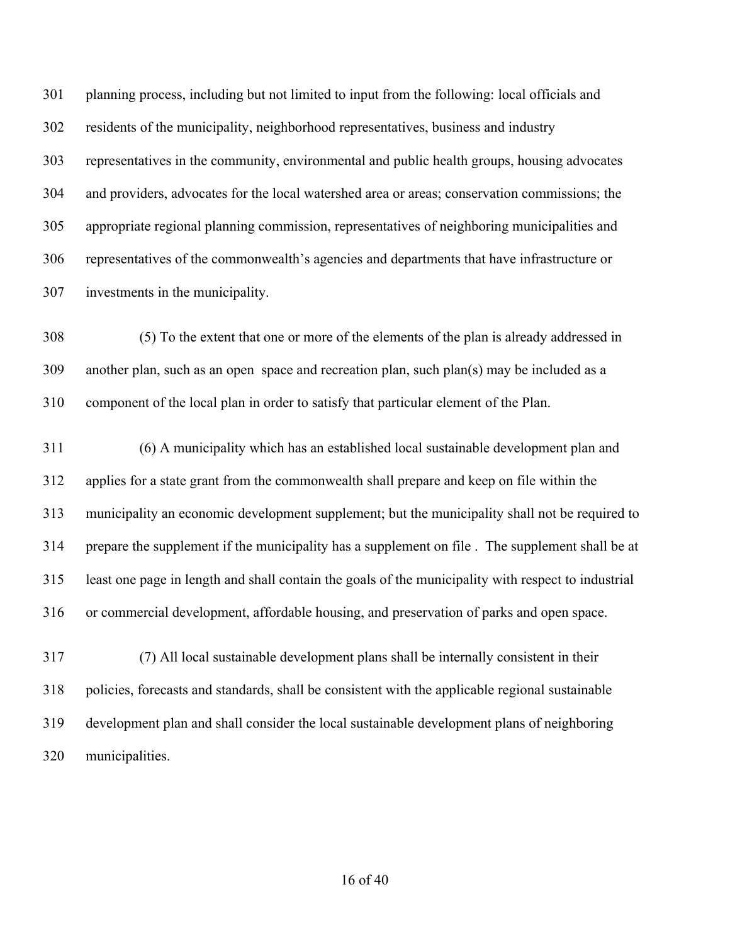planning process, including but not limited to input from the following: local officials and residents of the municipality, neighborhood representatives, business and industry representatives in the community, environmental and public health groups, housing advocates and providers, advocates for the local watershed area or areas; conservation commissions; the appropriate regional planning commission, representatives of neighboring municipalities and representatives of the commonwealth's agencies and departments that have infrastructure or investments in the municipality.

308 (5) To the extent that one or more of the elements of the plan is already addressed in another plan, such as an open space and recreation plan, such plan(s) may be included as a component of the local plan in order to satisfy that particular element of the Plan.

311 (6) A municipality which has an established local sustainable development plan and applies for a state grant from the commonwealth shall prepare and keep on file within the municipality an economic development supplement; but the municipality shall not be required to prepare the supplement if the municipality has a supplement on file . The supplement shall be at least one page in length and shall contain the goals of the municipality with respect to industrial or commercial development, affordable housing, and preservation of parks and open space.

317 (7) All local sustainable development plans shall be internally consistent in their policies, forecasts and standards, shall be consistent with the applicable regional sustainable development plan and shall consider the local sustainable development plans of neighboring municipalities.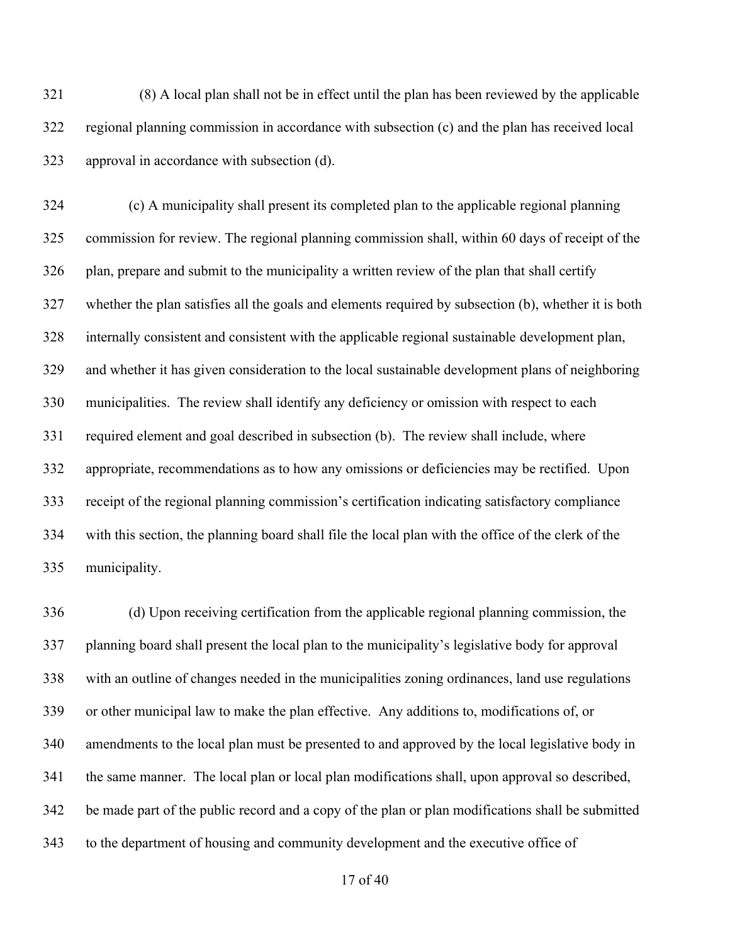321 (8) A local plan shall not be in effect until the plan has been reviewed by the applicable regional planning commission in accordance with subsection (c) and the plan has received local approval in accordance with subsection (d).

 (c) A municipality shall present its completed plan to the applicable regional planning commission for review. The regional planning commission shall, within 60 days of receipt of the plan, prepare and submit to the municipality a written review of the plan that shall certify whether the plan satisfies all the goals and elements required by subsection (b), whether it is both internally consistent and consistent with the applicable regional sustainable development plan, and whether it has given consideration to the local sustainable development plans of neighboring municipalities. The review shall identify any deficiency or omission with respect to each required element and goal described in subsection (b). The review shall include, where appropriate, recommendations as to how any omissions or deficiencies may be rectified. Upon receipt of the regional planning commission's certification indicating satisfactory compliance with this section, the planning board shall file the local plan with the office of the clerk of the municipality.

 (d) Upon receiving certification from the applicable regional planning commission, the planning board shall present the local plan to the municipality's legislative body for approval with an outline of changes needed in the municipalities zoning ordinances, land use regulations or other municipal law to make the plan effective. Any additions to, modifications of, or amendments to the local plan must be presented to and approved by the local legislative body in the same manner. The local plan or local plan modifications shall, upon approval so described, be made part of the public record and a copy of the plan or plan modifications shall be submitted to the department of housing and community development and the executive office of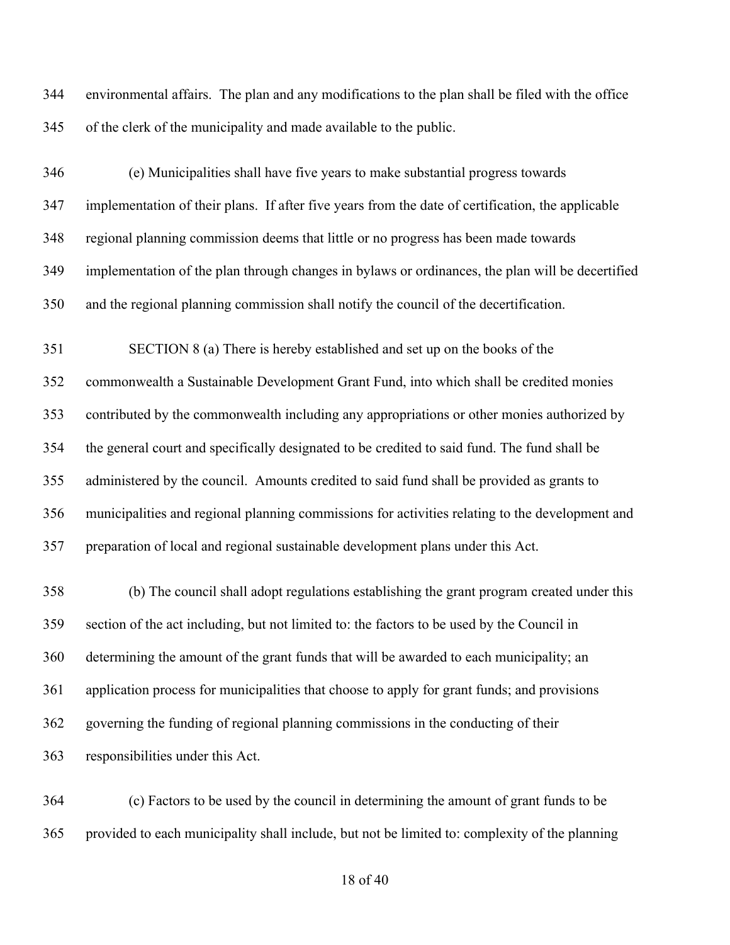environmental affairs. The plan and any modifications to the plan shall be filed with the office of the clerk of the municipality and made available to the public.

 (e) Municipalities shall have five years to make substantial progress towards implementation of their plans. If after five years from the date of certification, the applicable regional planning commission deems that little or no progress has been made towards implementation of the plan through changes in bylaws or ordinances, the plan will be decertified and the regional planning commission shall notify the council of the decertification. SECTION 8 (a) There is hereby established and set up on the books of the commonwealth a Sustainable Development Grant Fund, into which shall be credited monies

 contributed by the commonwealth including any appropriations or other monies authorized by the general court and specifically designated to be credited to said fund. The fund shall be administered by the council. Amounts credited to said fund shall be provided as grants to municipalities and regional planning commissions for activities relating to the development and preparation of local and regional sustainable development plans under this Act.

 (b) The council shall adopt regulations establishing the grant program created under this section of the act including, but not limited to: the factors to be used by the Council in determining the amount of the grant funds that will be awarded to each municipality; an application process for municipalities that choose to apply for grant funds; and provisions governing the funding of regional planning commissions in the conducting of their responsibilities under this Act.

 (c) Factors to be used by the council in determining the amount of grant funds to be provided to each municipality shall include, but not be limited to: complexity of the planning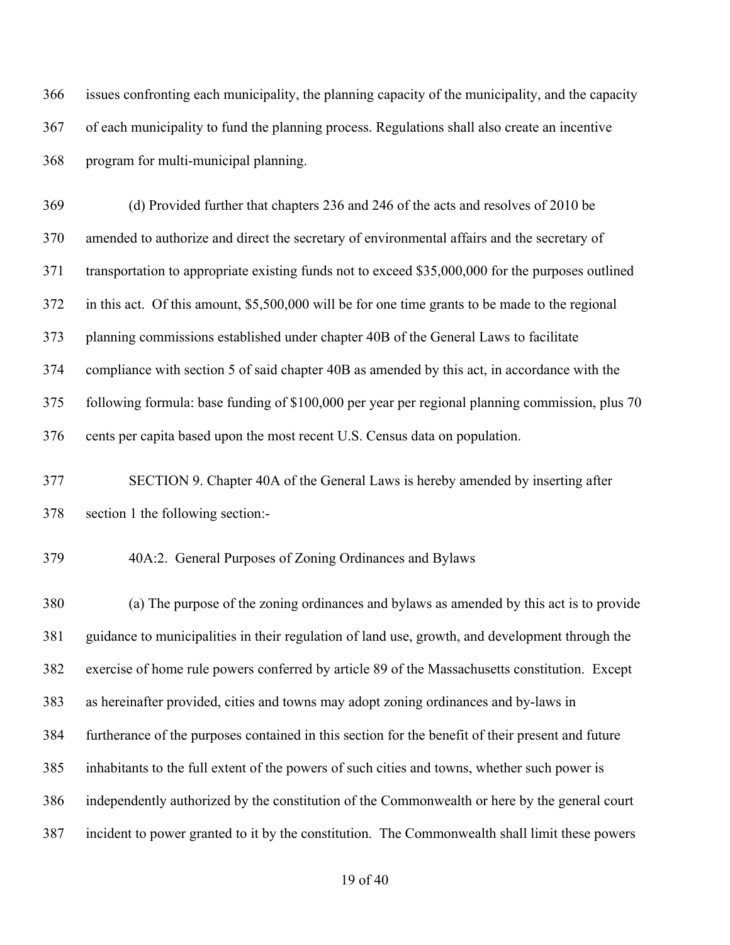issues confronting each municipality, the planning capacity of the municipality, and the capacity of each municipality to fund the planning process. Regulations shall also create an incentive program for multi-municipal planning.

 (d) Provided further that chapters 236 and 246 of the acts and resolves of 2010 be amended to authorize and direct the secretary of environmental affairs and the secretary of transportation to appropriate existing funds not to exceed \$35,000,000 for the purposes outlined in this act. Of this amount, \$5,500,000 will be for one time grants to be made to the regional planning commissions established under chapter 40B of the General Laws to facilitate compliance with section 5 of said chapter 40B as amended by this act, in accordance with the following formula: base funding of \$100,000 per year per regional planning commission, plus 70 cents per capita based upon the most recent U.S. Census data on population.

 SECTION 9. Chapter 40A of the General Laws is hereby amended by inserting after section 1 the following section:-

#### 40A:2. General Purposes of Zoning Ordinances and Bylaws

 (a) The purpose of the zoning ordinances and bylaws as amended by this act is to provide guidance to municipalities in their regulation of land use, growth, and development through the exercise of home rule powers conferred by article 89 of the Massachusetts constitution. Except as hereinafter provided, cities and towns may adopt zoning ordinances and by-laws in furtherance of the purposes contained in this section for the benefit of their present and future inhabitants to the full extent of the powers of such cities and towns, whether such power is independently authorized by the constitution of the Commonwealth or here by the general court incident to power granted to it by the constitution. The Commonwealth shall limit these powers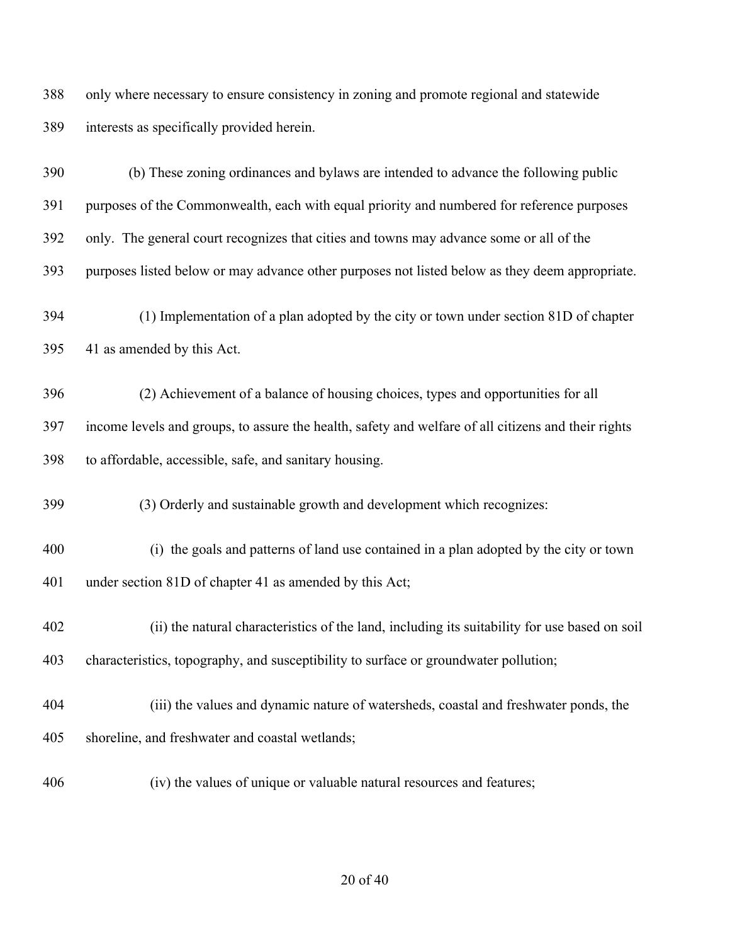only where necessary to ensure consistency in zoning and promote regional and statewide interests as specifically provided herein.

 (b) These zoning ordinances and bylaws are intended to advance the following public purposes of the Commonwealth, each with equal priority and numbered for reference purposes only. The general court recognizes that cities and towns may advance some or all of the purposes listed below or may advance other purposes not listed below as they deem appropriate. 394 (1) Implementation of a plan adopted by the city or town under section 81D of chapter 41 as amended by this Act. 396 (2) Achievement of a balance of housing choices, types and opportunities for all income levels and groups, to assure the health, safety and welfare of all citizens and their rights to affordable, accessible, safe, and sanitary housing. 399 (3) Orderly and sustainable growth and development which recognizes: 400 (i) the goals and patterns of land use contained in a plan adopted by the city or town under section 81D of chapter 41 as amended by this Act; 402 (ii) the natural characteristics of the land, including its suitability for use based on soil characteristics, topography, and susceptibility to surface or groundwater pollution; 404 (iii) the values and dynamic nature of watersheds, coastal and freshwater ponds, the shoreline, and freshwater and coastal wetlands; 406 (iv) the values of unique or valuable natural resources and features;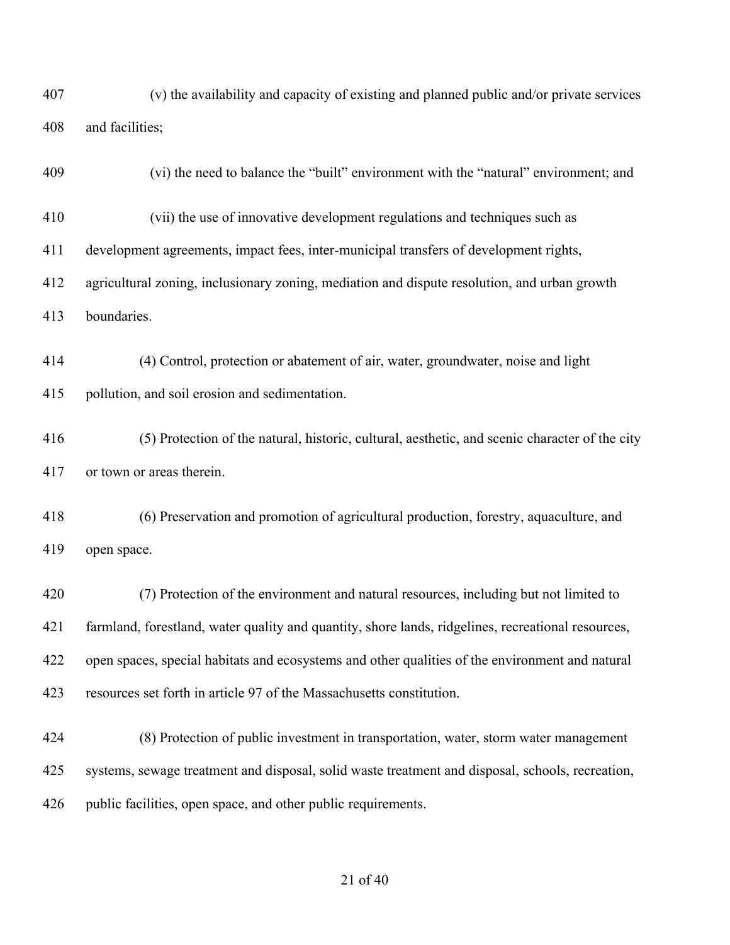407 (v) the availability and capacity of existing and planned public and/or private services and facilities;

409 (vi) the need to balance the "built" environment with the "natural" environment; and 410 (vii) the use of innovative development regulations and techniques such as development agreements, impact fees, inter-municipal transfers of development rights, agricultural zoning, inclusionary zoning, mediation and dispute resolution, and urban growth

boundaries.

414 (4) Control, protection or abatement of air, water, groundwater, noise and light pollution, and soil erosion and sedimentation.

416 (5) Protection of the natural, historic, cultural, aesthetic, and scenic character of the city or town or areas therein.

418 (6) Preservation and promotion of agricultural production, forestry, aquaculture, and open space.

420 (7) Protection of the environment and natural resources, including but not limited to farmland, forestland, water quality and quantity, shore lands, ridgelines, recreational resources, open spaces, special habitats and ecosystems and other qualities of the environment and natural resources set forth in article 97 of the Massachusetts constitution.

424 (8) Protection of public investment in transportation, water, storm water management systems, sewage treatment and disposal, solid waste treatment and disposal, schools, recreation, public facilities, open space, and other public requirements.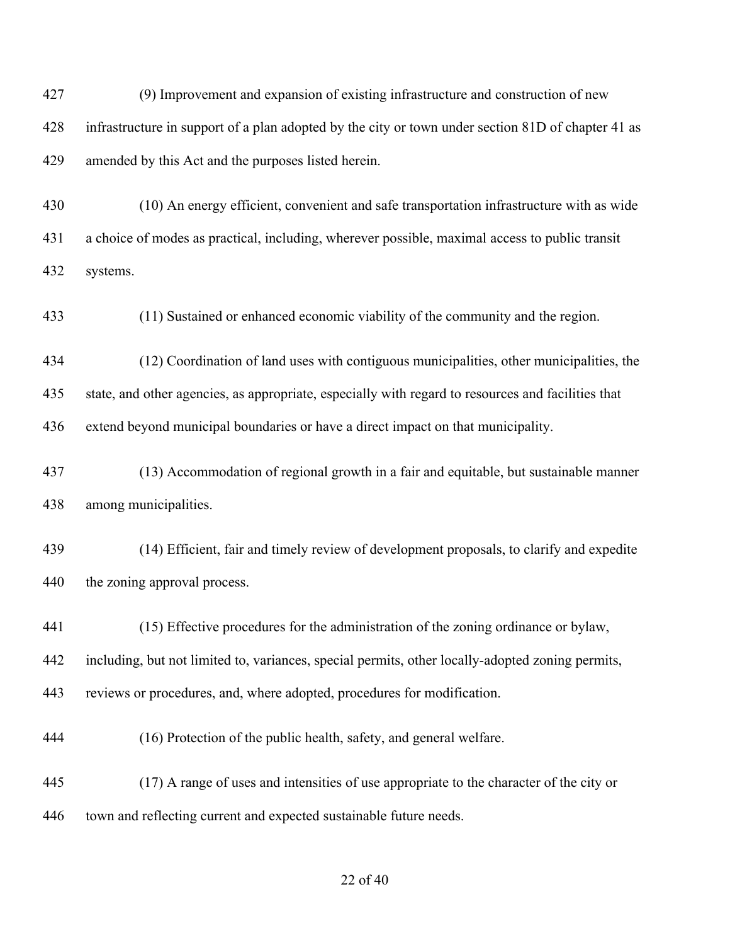427 (9) Improvement and expansion of existing infrastructure and construction of new 428 infrastructure in support of a plan adopted by the city or town under section 81D of chapter 41 as 429 amended by this Act and the purposes listed herein.

430 (10) An energy efficient, convenient and safe transportation infrastructure with as wide 431 a choice of modes as practical, including, wherever possible, maximal access to public transit 432 systems.

433 (11) Sustained or enhanced economic viability of the community and the region.

434 (12) Coordination of land uses with contiguous municipalities, other municipalities, the 435 state, and other agencies, as appropriate, especially with regard to resources and facilities that 436 extend beyond municipal boundaries or have a direct impact on that municipality.

437 (13) Accommodation of regional growth in a fair and equitable, but sustainable manner 438 among municipalities.

439 (14) Efficient, fair and timely review of development proposals, to clarify and expedite 440 the zoning approval process.

441 (15) Effective procedures for the administration of the zoning ordinance or bylaw, 442 including, but not limited to, variances, special permits, other locally-adopted zoning permits, 443 reviews or procedures, and, where adopted, procedures for modification.

444 (16) Protection of the public health, safety, and general welfare.

445 (17) A range of uses and intensities of use appropriate to the character of the city or 446 town and reflecting current and expected sustainable future needs.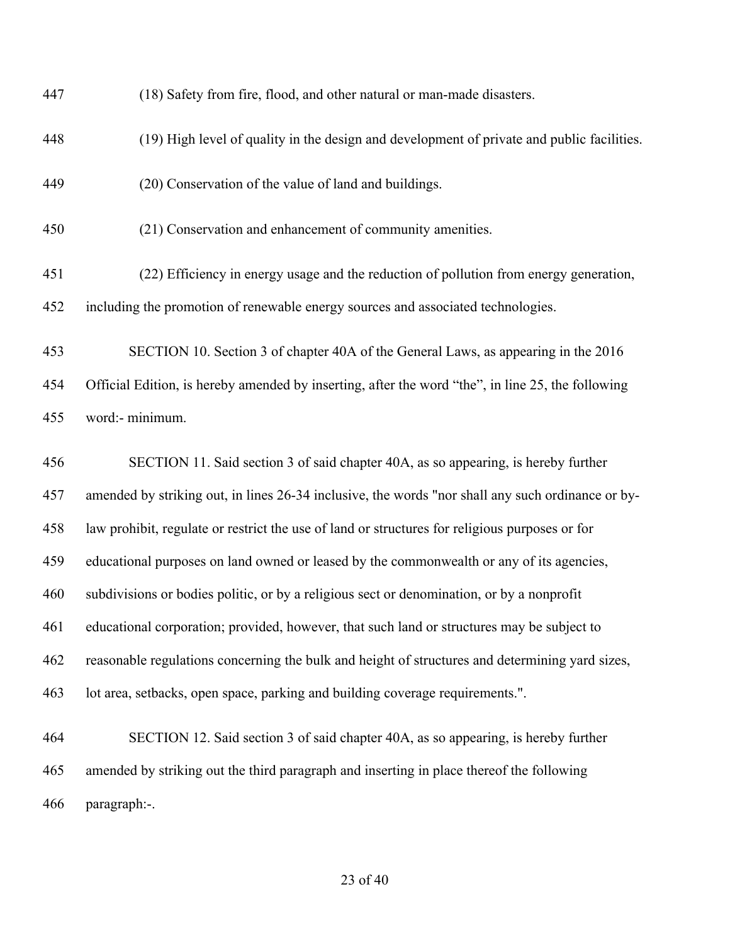| 447 | (18) Safety from fire, flood, and other natural or man-made disasters.                            |
|-----|---------------------------------------------------------------------------------------------------|
| 448 | (19) High level of quality in the design and development of private and public facilities.        |
| 449 | (20) Conservation of the value of land and buildings.                                             |
| 450 | (21) Conservation and enhancement of community amenities.                                         |
| 451 | (22) Efficiency in energy usage and the reduction of pollution from energy generation,            |
| 452 | including the promotion of renewable energy sources and associated technologies.                  |
| 453 | SECTION 10. Section 3 of chapter 40A of the General Laws, as appearing in the 2016                |
| 454 | Official Edition, is hereby amended by inserting, after the word "the", in line 25, the following |
| 455 | word:- minimum.                                                                                   |
| 456 | SECTION 11. Said section 3 of said chapter 40A, as so appearing, is hereby further                |
| 457 | amended by striking out, in lines 26-34 inclusive, the words "nor shall any such ordinance or by- |
| 458 | law prohibit, regulate or restrict the use of land or structures for religious purposes or for    |
| 459 | educational purposes on land owned or leased by the commonwealth or any of its agencies,          |
| 460 | subdivisions or bodies politic, or by a religious sect or denomination, or by a nonprofit         |
| 461 | educational corporation; provided, however, that such land or structures may be subject to        |
| 462 | reasonable regulations concerning the bulk and height of structures and determining yard sizes,   |
| 463 | lot area, setbacks, open space, parking and building coverage requirements.".                     |
| 464 | SECTION 12. Said section 3 of said chapter 40A, as so appearing, is hereby further                |
| 465 | amended by striking out the third paragraph and inserting in place thereof the following          |
| 466 | paragraph:-.                                                                                      |
|     |                                                                                                   |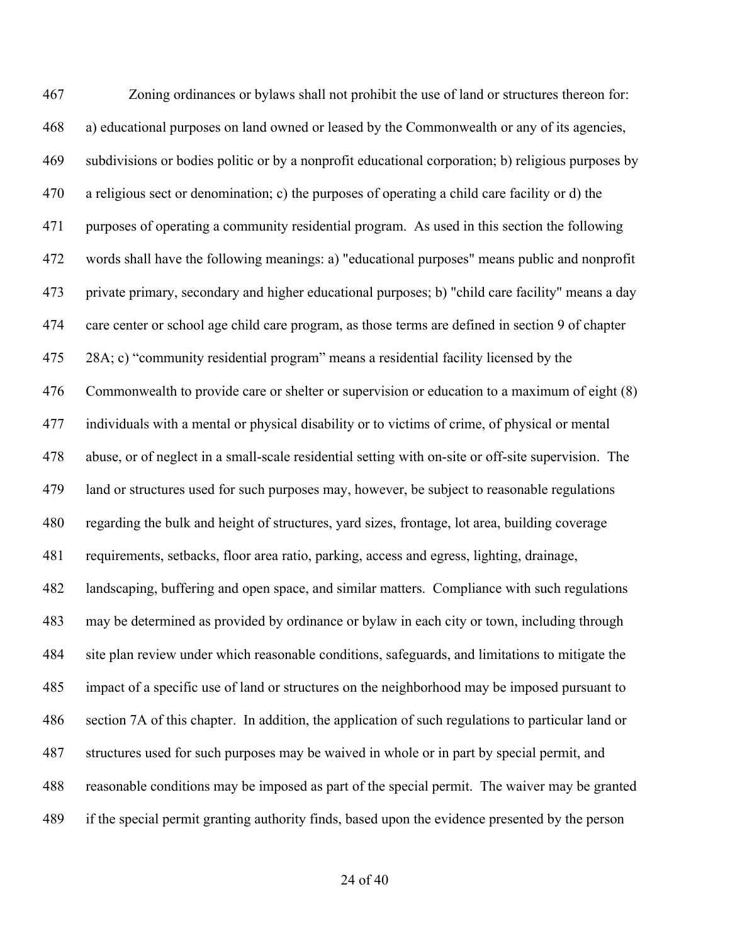Zoning ordinances or bylaws shall not prohibit the use of land or structures thereon for: a) educational purposes on land owned or leased by the Commonwealth or any of its agencies, subdivisions or bodies politic or by a nonprofit educational corporation; b) religious purposes by a religious sect or denomination; c) the purposes of operating a child care facility or d) the purposes of operating a community residential program. As used in this section the following words shall have the following meanings: a) "educational purposes" means public and nonprofit private primary, secondary and higher educational purposes; b) "child care facility" means a day care center or school age child care program, as those terms are defined in section 9 of chapter 28A; c) "community residential program" means a residential facility licensed by the Commonwealth to provide care or shelter or supervision or education to a maximum of eight (8) individuals with a mental or physical disability or to victims of crime, of physical or mental abuse, or of neglect in a small-scale residential setting with on-site or off-site supervision. The land or structures used for such purposes may, however, be subject to reasonable regulations regarding the bulk and height of structures, yard sizes, frontage, lot area, building coverage requirements, setbacks, floor area ratio, parking, access and egress, lighting, drainage, landscaping, buffering and open space, and similar matters. Compliance with such regulations may be determined as provided by ordinance or bylaw in each city or town, including through site plan review under which reasonable conditions, safeguards, and limitations to mitigate the impact of a specific use of land or structures on the neighborhood may be imposed pursuant to section 7A of this chapter. In addition, the application of such regulations to particular land or structures used for such purposes may be waived in whole or in part by special permit, and reasonable conditions may be imposed as part of the special permit. The waiver may be granted if the special permit granting authority finds, based upon the evidence presented by the person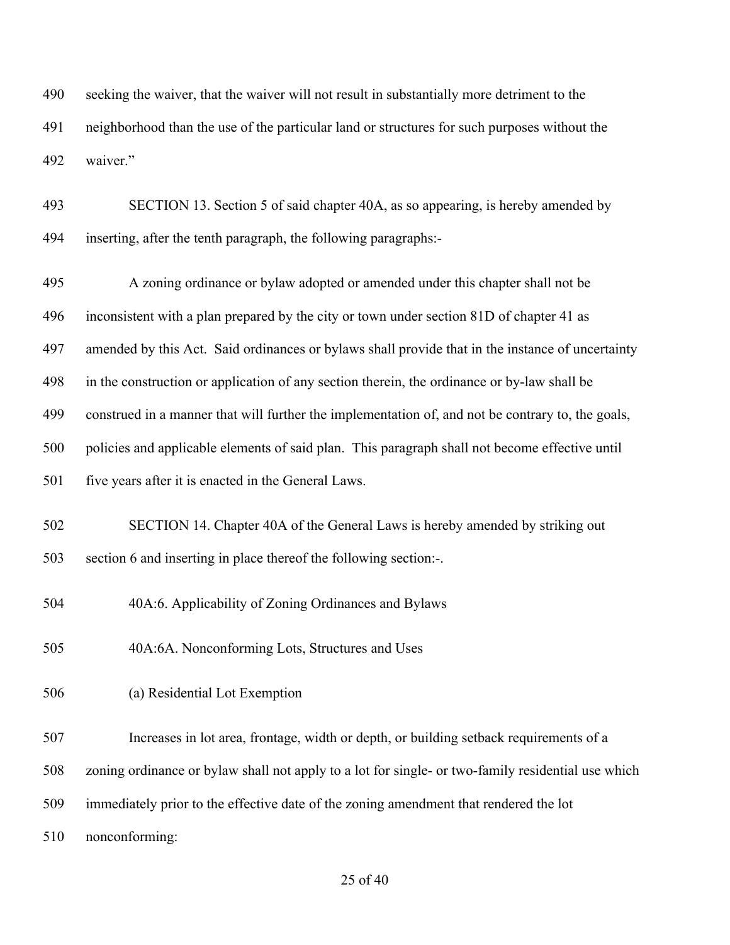seeking the waiver, that the waiver will not result in substantially more detriment to the neighborhood than the use of the particular land or structures for such purposes without the waiver."

 SECTION 13. Section 5 of said chapter 40A, as so appearing, is hereby amended by inserting, after the tenth paragraph, the following paragraphs:-

 A zoning ordinance or bylaw adopted or amended under this chapter shall not be inconsistent with a plan prepared by the city or town under section 81D of chapter 41 as amended by this Act. Said ordinances or bylaws shall provide that in the instance of uncertainty in the construction or application of any section therein, the ordinance or by-law shall be construed in a manner that will further the implementation of, and not be contrary to, the goals, policies and applicable elements of said plan. This paragraph shall not become effective until

501 five years after it is enacted in the General Laws.

# SECTION 14. Chapter 40A of the General Laws is hereby amended by striking out section 6 and inserting in place thereof the following section:-.

- 40A:6. Applicability of Zoning Ordinances and Bylaws
- 40A:6A. Nonconforming Lots, Structures and Uses
- (a) Residential Lot Exemption

Increases in lot area, frontage, width or depth, or building setback requirements of a

zoning ordinance or bylaw shall not apply to a lot for single- or two-family residential use which

immediately prior to the effective date of the zoning amendment that rendered the lot

nonconforming: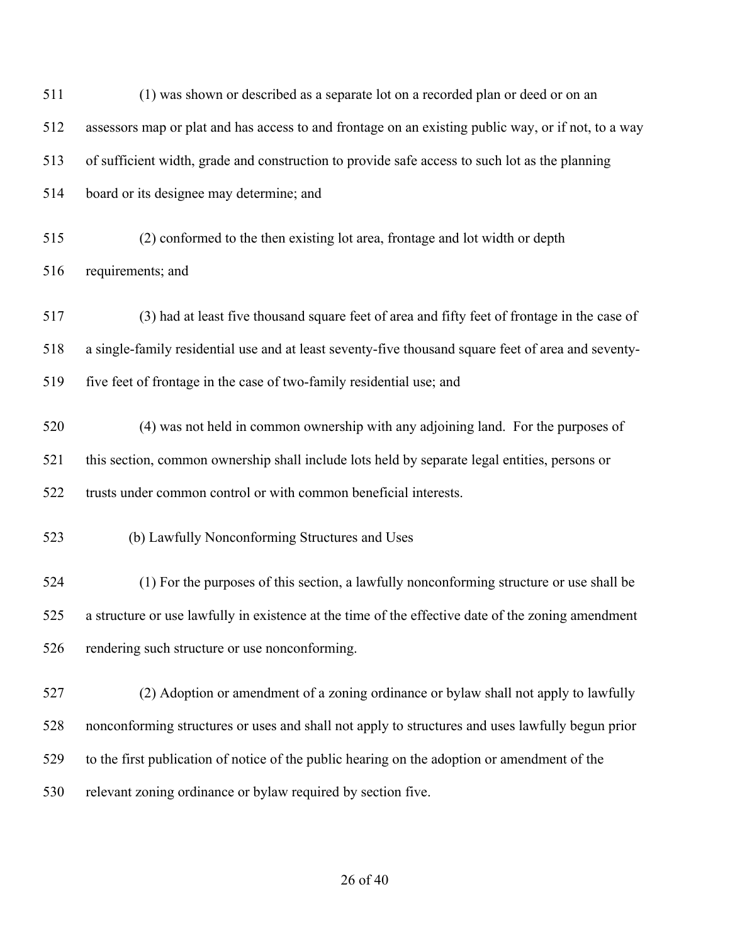| 511        | (1) was shown or described as a separate lot on a recorded plan or deed or on an                    |
|------------|-----------------------------------------------------------------------------------------------------|
| 512        | assessors map or plat and has access to and frontage on an existing public way, or if not, to a way |
| 513        | of sufficient width, grade and construction to provide safe access to such lot as the planning      |
| 514        | board or its designee may determine; and                                                            |
| 515<br>516 | (2) conformed to the then existing lot area, frontage and lot width or depth<br>requirements; and   |
|            |                                                                                                     |
| 517        | (3) had at least five thousand square feet of area and fifty feet of frontage in the case of        |
| 518        | a single-family residential use and at least seventy-five thousand square feet of area and seventy- |
| 519        | five feet of frontage in the case of two-family residential use; and                                |
| 520        | (4) was not held in common ownership with any adjoining land. For the purposes of                   |
| 521        | this section, common ownership shall include lots held by separate legal entities, persons or       |
| 522        | trusts under common control or with common beneficial interests.                                    |
| 523        | (b) Lawfully Nonconforming Structures and Uses                                                      |
| 524        | (1) For the purposes of this section, a lawfully nonconforming structure or use shall be            |
| 525        | a structure or use lawfully in existence at the time of the effective date of the zoning amendment  |
| 526        | rendering such structure or use nonconforming.                                                      |
| 527        | (2) Adoption or amendment of a zoning ordinance or bylaw shall not apply to lawfully                |
| 528        | nonconforming structures or uses and shall not apply to structures and uses lawfully begun prior    |
| 529        | to the first publication of notice of the public hearing on the adoption or amendment of the        |
| 530        | relevant zoning ordinance or bylaw required by section five.                                        |
|            |                                                                                                     |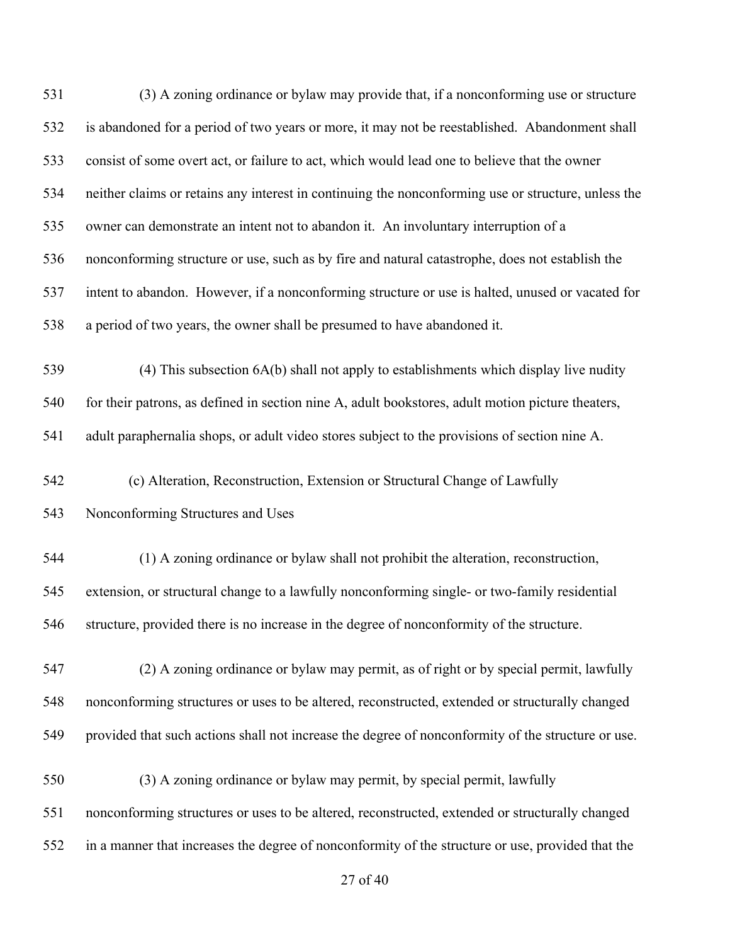| 531 | (3) A zoning ordinance or bylaw may provide that, if a nonconforming use or structure               |
|-----|-----------------------------------------------------------------------------------------------------|
| 532 | is abandoned for a period of two years or more, it may not be reestablished. Abandonment shall      |
| 533 | consist of some overt act, or failure to act, which would lead one to believe that the owner        |
| 534 | neither claims or retains any interest in continuing the nonconforming use or structure, unless the |
| 535 | owner can demonstrate an intent not to abandon it. An involuntary interruption of a                 |
| 536 | nonconforming structure or use, such as by fire and natural catastrophe, does not establish the     |
| 537 | intent to abandon. However, if a nonconforming structure or use is halted, unused or vacated for    |
| 538 | a period of two years, the owner shall be presumed to have abandoned it.                            |
| 539 | $(4)$ This subsection $6A(b)$ shall not apply to establishments which display live nudity           |
| 540 | for their patrons, as defined in section nine A, adult bookstores, adult motion picture theaters,   |
| 541 | adult paraphernalia shops, or adult video stores subject to the provisions of section nine A.       |
| 542 | (c) Alteration, Reconstruction, Extension or Structural Change of Lawfully                          |
| 543 | Nonconforming Structures and Uses                                                                   |
| 544 | (1) A zoning ordinance or bylaw shall not prohibit the alteration, reconstruction,                  |
| 545 | extension, or structural change to a lawfully nonconforming single- or two-family residential       |
| 546 | structure, provided there is no increase in the degree of nonconformity of the structure.           |
| 547 | (2) A zoning ordinance or bylaw may permit, as of right or by special permit, lawfully              |
| 548 | nonconforming structures or uses to be altered, reconstructed, extended or structurally changed     |
| 549 | provided that such actions shall not increase the degree of nonconformity of the structure or use.  |
| 550 | (3) A zoning ordinance or bylaw may permit, by special permit, lawfully                             |
| 551 | nonconforming structures or uses to be altered, reconstructed, extended or structurally changed     |
| 552 | in a manner that increases the degree of nonconformity of the structure or use, provided that the   |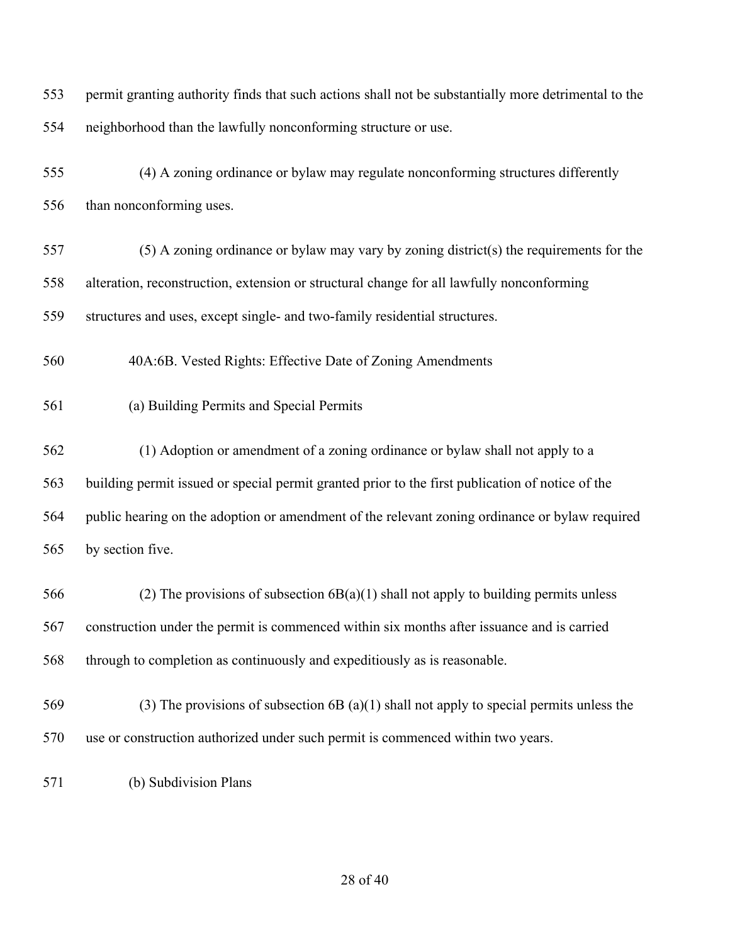permit granting authority finds that such actions shall not be substantially more detrimental to the neighborhood than the lawfully nonconforming structure or use.

- 555 (4) A zoning ordinance or bylaw may regulate nonconforming structures differently than nonconforming uses.
- 557 (5) A zoning ordinance or bylaw may vary by zoning district(s) the requirements for the alteration, reconstruction, extension or structural change for all lawfully nonconforming structures and uses, except single- and two-family residential structures.
- 40A:6B. Vested Rights: Effective Date of Zoning Amendments
- (a) Building Permits and Special Permits
- 562 (1) Adoption or amendment of a zoning ordinance or bylaw shall not apply to a building permit issued or special permit granted prior to the first publication of notice of the public hearing on the adoption or amendment of the relevant zoning ordinance or bylaw required by section five.
- 566 (2) The provisions of subsection  $6B(a)(1)$  shall not apply to building permits unless construction under the permit is commenced within six months after issuance and is carried through to completion as continuously and expeditiously as is reasonable.
- 569 (3) The provisions of subsection 6B (a)(1) shall not apply to special permits unless the use or construction authorized under such permit is commenced within two years.
- (b) Subdivision Plans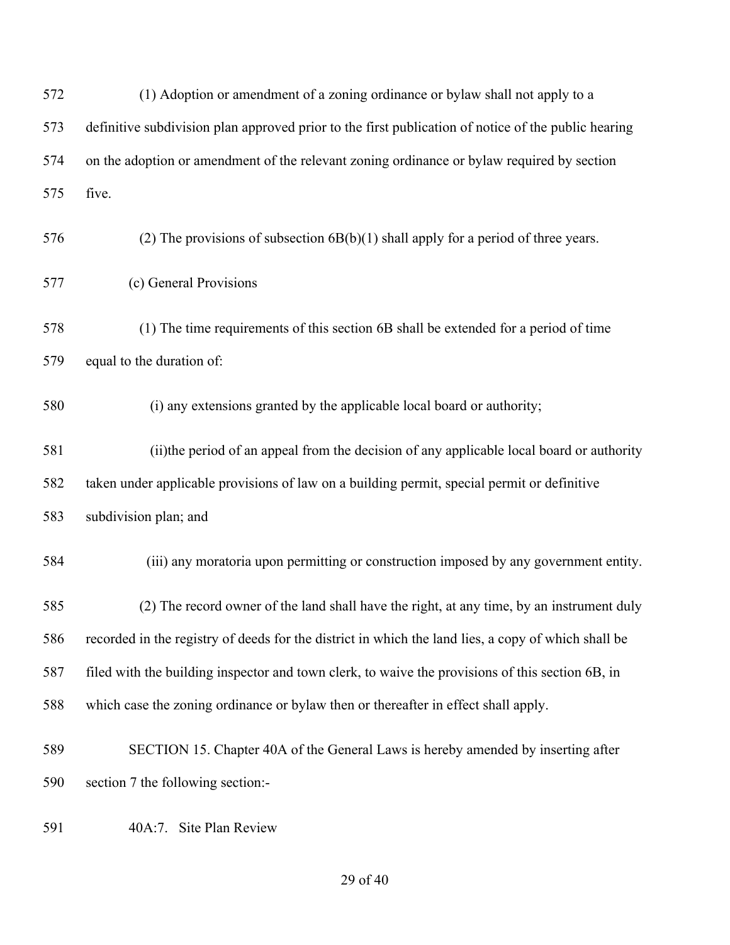| 572 | (1) Adoption or amendment of a zoning ordinance or bylaw shall not apply to a                       |
|-----|-----------------------------------------------------------------------------------------------------|
| 573 | definitive subdivision plan approved prior to the first publication of notice of the public hearing |
| 574 | on the adoption or amendment of the relevant zoning ordinance or bylaw required by section          |
| 575 | five.                                                                                               |
| 576 | (2) The provisions of subsection $6B(b)(1)$ shall apply for a period of three years.                |
| 577 | (c) General Provisions                                                                              |
| 578 | (1) The time requirements of this section 6B shall be extended for a period of time                 |
| 579 | equal to the duration of:                                                                           |
| 580 | (i) any extensions granted by the applicable local board or authority;                              |
| 581 | (ii) the period of an appeal from the decision of any applicable local board or authority           |
| 582 | taken under applicable provisions of law on a building permit, special permit or definitive         |
| 583 | subdivision plan; and                                                                               |
| 584 | (iii) any moratoria upon permitting or construction imposed by any government entity.               |
| 585 | (2) The record owner of the land shall have the right, at any time, by an instrument duly           |
| 586 | recorded in the registry of deeds for the district in which the land lies, a copy of which shall be |
| 587 | filed with the building inspector and town clerk, to waive the provisions of this section 6B, in    |
| 588 | which case the zoning ordinance or bylaw then or thereafter in effect shall apply.                  |
| 589 | SECTION 15. Chapter 40A of the General Laws is hereby amended by inserting after                    |
| 590 | section 7 the following section:-                                                                   |
| 591 | Site Plan Review<br>40A:7.                                                                          |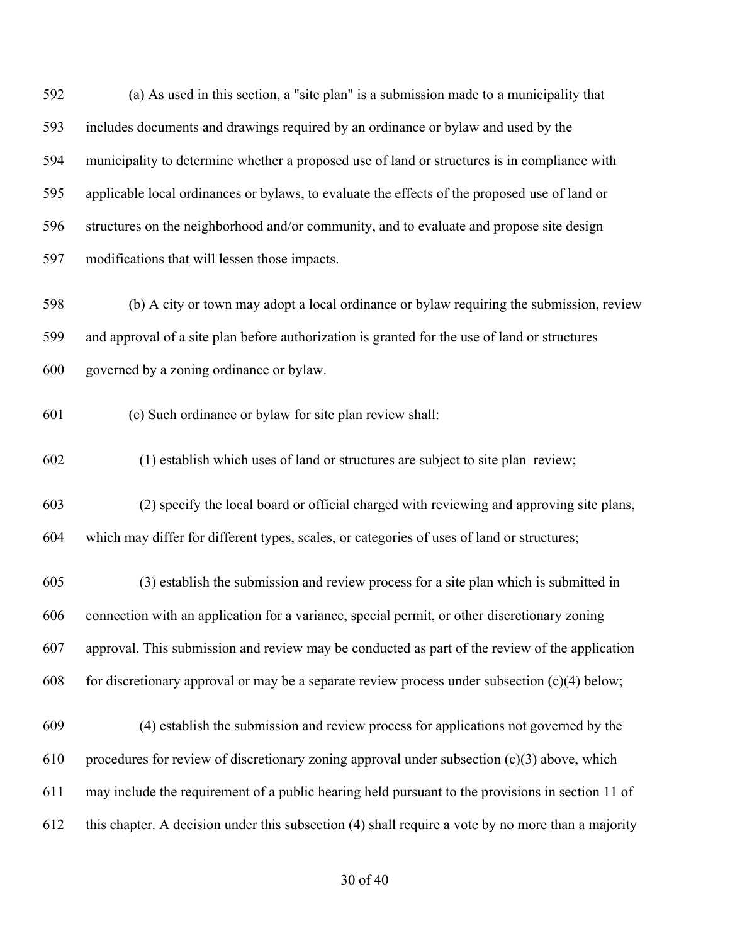(a) As used in this section, a "site plan" is a submission made to a municipality that includes documents and drawings required by an ordinance or bylaw and used by the municipality to determine whether a proposed use of land or structures is in compliance with applicable local ordinances or bylaws, to evaluate the effects of the proposed use of land or structures on the neighborhood and/or community, and to evaluate and propose site design modifications that will lessen those impacts.

 (b) A city or town may adopt a local ordinance or bylaw requiring the submission, review and approval of a site plan before authorization is granted for the use of land or structures governed by a zoning ordinance or bylaw.

(c) Such ordinance or bylaw for site plan review shall:

602 (1) establish which uses of land or structures are subject to site plan review;

603 (2) specify the local board or official charged with reviewing and approving site plans, which may differ for different types, scales, or categories of uses of land or structures;

605 (3) establish the submission and review process for a site plan which is submitted in connection with an application for a variance, special permit, or other discretionary zoning approval. This submission and review may be conducted as part of the review of the application 608 for discretionary approval or may be a separate review process under subsection  $(c)(4)$  below;

609 (4) establish the submission and review process for applications not governed by the 610 procedures for review of discretionary zoning approval under subsection  $(c)(3)$  above, which may include the requirement of a public hearing held pursuant to the provisions in section 11 of this chapter. A decision under this subsection (4) shall require a vote by no more than a majority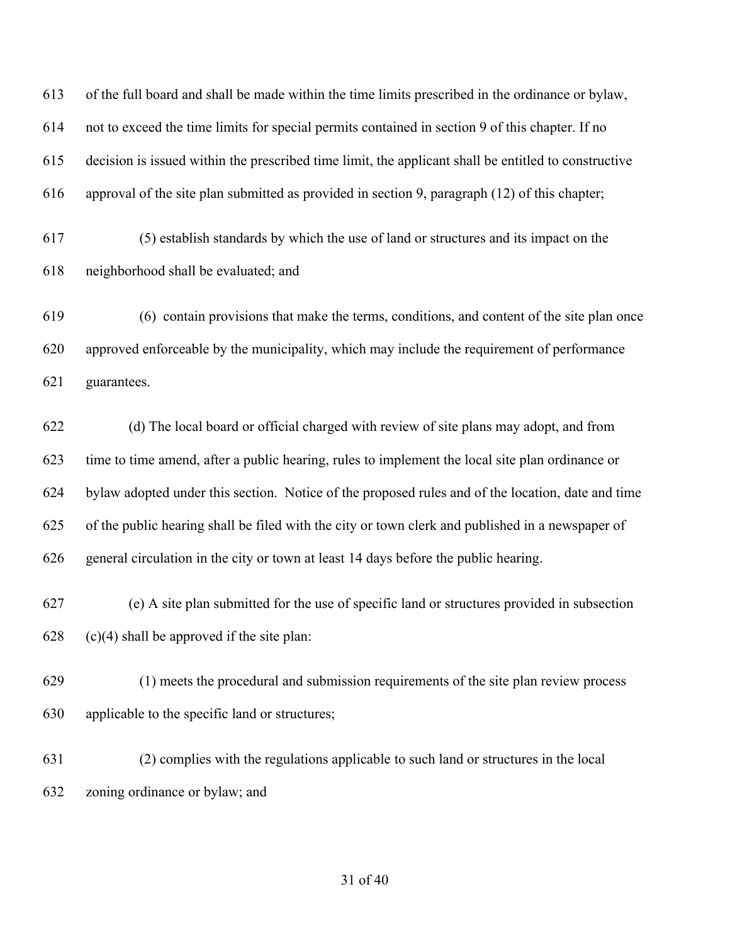of the full board and shall be made within the time limits prescribed in the ordinance or bylaw, not to exceed the time limits for special permits contained in section 9 of this chapter. If no decision is issued within the prescribed time limit, the applicant shall be entitled to constructive approval of the site plan submitted as provided in section 9, paragraph (12) of this chapter;

617 (5) establish standards by which the use of land or structures and its impact on the neighborhood shall be evaluated; and

619 (6) contain provisions that make the terms, conditions, and content of the site plan once approved enforceable by the municipality, which may include the requirement of performance guarantees.

 (d) The local board or official charged with review of site plans may adopt, and from time to time amend, after a public hearing, rules to implement the local site plan ordinance or bylaw adopted under this section. Notice of the proposed rules and of the location, date and time of the public hearing shall be filed with the city or town clerk and published in a newspaper of general circulation in the city or town at least 14 days before the public hearing.

 (e) A site plan submitted for the use of specific land or structures provided in subsection (c)(4) shall be approved if the site plan:

629 (1) meets the procedural and submission requirements of the site plan review process applicable to the specific land or structures;

631 (2) complies with the regulations applicable to such land or structures in the local zoning ordinance or bylaw; and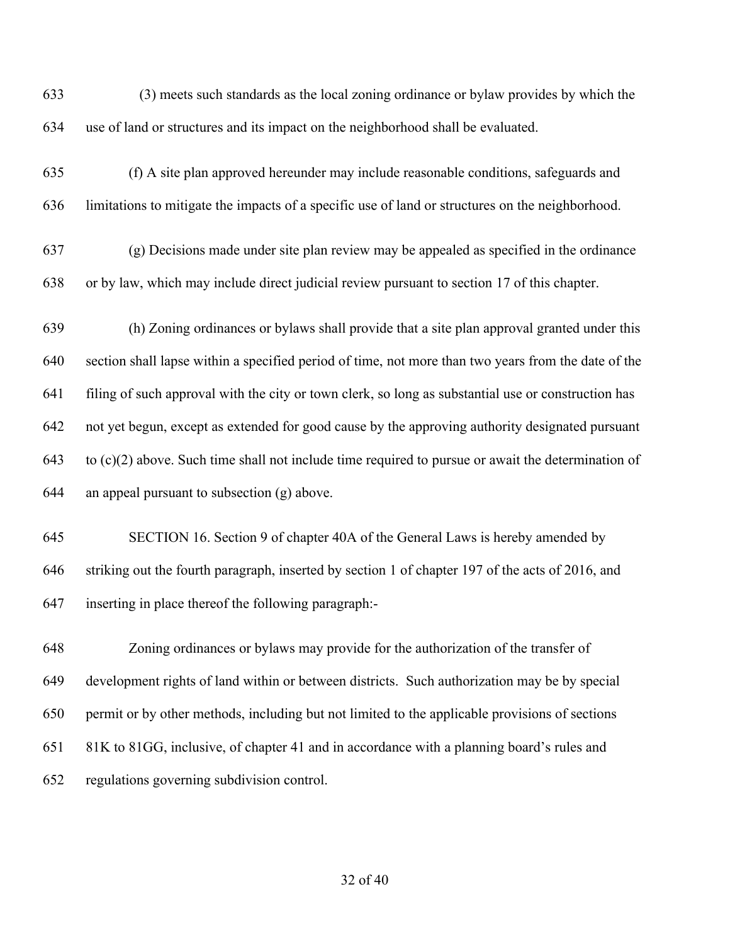- 633 (3) meets such standards as the local zoning ordinance or bylaw provides by which the use of land or structures and its impact on the neighborhood shall be evaluated.
- (f) A site plan approved hereunder may include reasonable conditions, safeguards and limitations to mitigate the impacts of a specific use of land or structures on the neighborhood.
- (g) Decisions made under site plan review may be appealed as specified in the ordinance or by law, which may include direct judicial review pursuant to section 17 of this chapter.
- (h) Zoning ordinances or bylaws shall provide that a site plan approval granted under this section shall lapse within a specified period of time, not more than two years from the date of the filing of such approval with the city or town clerk, so long as substantial use or construction has not yet begun, except as extended for good cause by the approving authority designated pursuant 643 to  $(c)(2)$  above. Such time shall not include time required to pursue or await the determination of an appeal pursuant to subsection (g) above.
- SECTION 16. Section 9 of chapter 40A of the General Laws is hereby amended by striking out the fourth paragraph, inserted by section 1 of chapter 197 of the acts of 2016, and inserting in place thereof the following paragraph:-

 Zoning ordinances or bylaws may provide for the authorization of the transfer of development rights of land within or between districts. Such authorization may be by special permit or by other methods, including but not limited to the applicable provisions of sections 81K to 81GG, inclusive, of chapter 41 and in accordance with a planning board's rules and regulations governing subdivision control.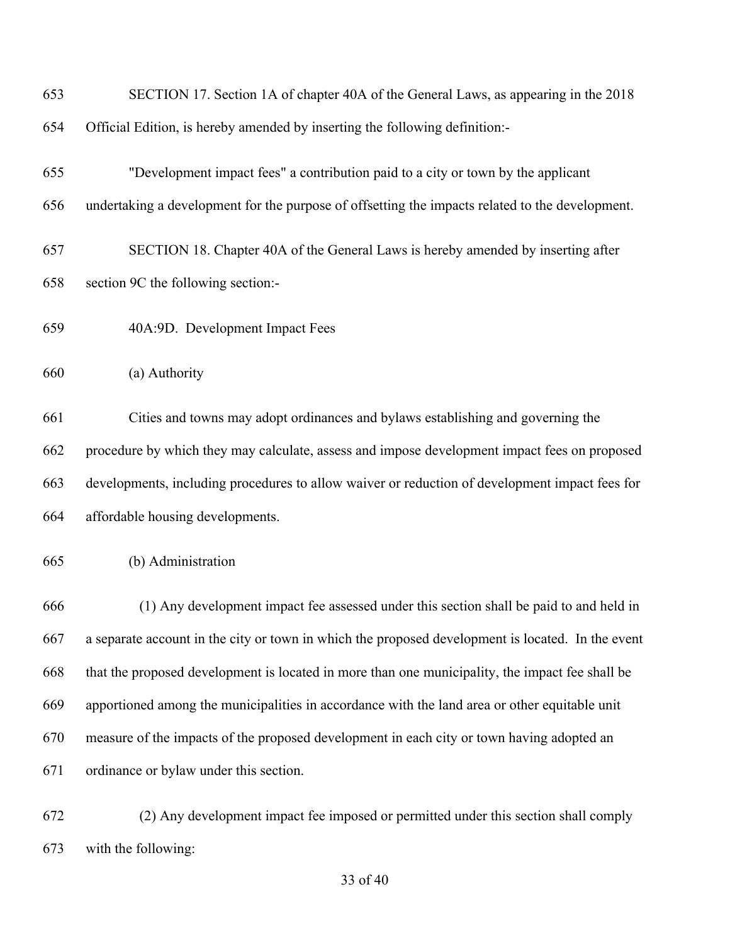| 653 | SECTION 17. Section 1A of chapter 40A of the General Laws, as appearing in the 2018               |
|-----|---------------------------------------------------------------------------------------------------|
| 654 | Official Edition, is hereby amended by inserting the following definition:-                       |
| 655 | "Development impact fees" a contribution paid to a city or town by the applicant                  |
| 656 | undertaking a development for the purpose of offsetting the impacts related to the development.   |
| 657 | SECTION 18. Chapter 40A of the General Laws is hereby amended by inserting after                  |
| 658 | section 9C the following section:-                                                                |
| 659 | 40A:9D. Development Impact Fees                                                                   |
| 660 | (a) Authority                                                                                     |
| 661 | Cities and towns may adopt ordinances and bylaws establishing and governing the                   |
| 662 | procedure by which they may calculate, assess and impose development impact fees on proposed      |
| 663 | developments, including procedures to allow waiver or reduction of development impact fees for    |
| 664 | affordable housing developments.                                                                  |
| 665 | (b) Administration                                                                                |
| 666 | (1) Any development impact fee assessed under this section shall be paid to and held in           |
| 667 | a separate account in the city or town in which the proposed development is located. In the event |
| 668 | that the proposed development is located in more than one municipality, the impact fee shall be   |
| 669 | apportioned among the municipalities in accordance with the land area or other equitable unit     |
| 670 | measure of the impacts of the proposed development in each city or town having adopted an         |
| 671 | ordinance or bylaw under this section.                                                            |
| 672 | (2) Any development impact fee imposed or permitted under this section shall comply               |

with the following: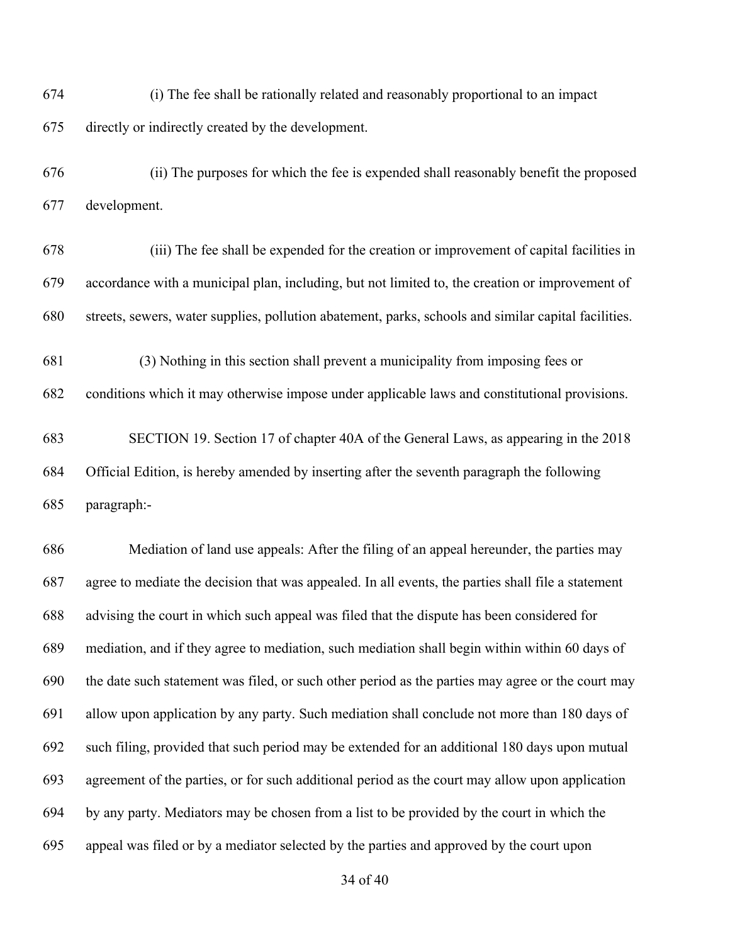674 (i) The fee shall be rationally related and reasonably proportional to an impact directly or indirectly created by the development.

676 (ii) The purposes for which the fee is expended shall reasonably benefit the proposed development.

678 (iii) The fee shall be expended for the creation or improvement of capital facilities in accordance with a municipal plan, including, but not limited to, the creation or improvement of streets, sewers, water supplies, pollution abatement, parks, schools and similar capital facilities.

681 (3) Nothing in this section shall prevent a municipality from imposing fees or

conditions which it may otherwise impose under applicable laws and constitutional provisions.

 SECTION 19. Section 17 of chapter 40A of the General Laws, as appearing in the 2018 Official Edition, is hereby amended by inserting after the seventh paragraph the following paragraph:-

 Mediation of land use appeals: After the filing of an appeal hereunder, the parties may agree to mediate the decision that was appealed. In all events, the parties shall file a statement advising the court in which such appeal was filed that the dispute has been considered for mediation, and if they agree to mediation, such mediation shall begin within within 60 days of the date such statement was filed, or such other period as the parties may agree or the court may allow upon application by any party. Such mediation shall conclude not more than 180 days of such filing, provided that such period may be extended for an additional 180 days upon mutual agreement of the parties, or for such additional period as the court may allow upon application by any party. Mediators may be chosen from a list to be provided by the court in which the appeal was filed or by a mediator selected by the parties and approved by the court upon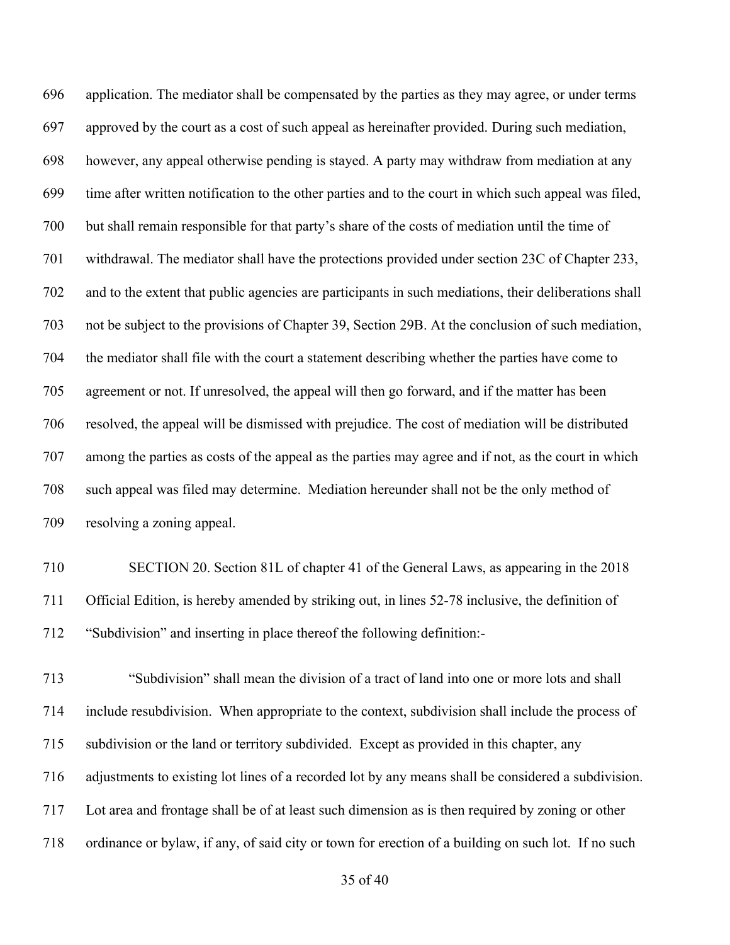application. The mediator shall be compensated by the parties as they may agree, or under terms approved by the court as a cost of such appeal as hereinafter provided. During such mediation, however, any appeal otherwise pending is stayed. A party may withdraw from mediation at any time after written notification to the other parties and to the court in which such appeal was filed, but shall remain responsible for that party's share of the costs of mediation until the time of withdrawal. The mediator shall have the protections provided under section 23C of Chapter 233, and to the extent that public agencies are participants in such mediations, their deliberations shall not be subject to the provisions of Chapter 39, Section 29B. At the conclusion of such mediation, the mediator shall file with the court a statement describing whether the parties have come to agreement or not. If unresolved, the appeal will then go forward, and if the matter has been resolved, the appeal will be dismissed with prejudice. The cost of mediation will be distributed among the parties as costs of the appeal as the parties may agree and if not, as the court in which such appeal was filed may determine. Mediation hereunder shall not be the only method of resolving a zoning appeal.

 SECTION 20. Section 81L of chapter 41 of the General Laws, as appearing in the 2018 Official Edition, is hereby amended by striking out, in lines 52-78 inclusive, the definition of "Subdivision" and inserting in place thereof the following definition:-

 "Subdivision" shall mean the division of a tract of land into one or more lots and shall include resubdivision. When appropriate to the context, subdivision shall include the process of subdivision or the land or territory subdivided. Except as provided in this chapter, any adjustments to existing lot lines of a recorded lot by any means shall be considered a subdivision. Lot area and frontage shall be of at least such dimension as is then required by zoning or other ordinance or bylaw, if any, of said city or town for erection of a building on such lot. If no such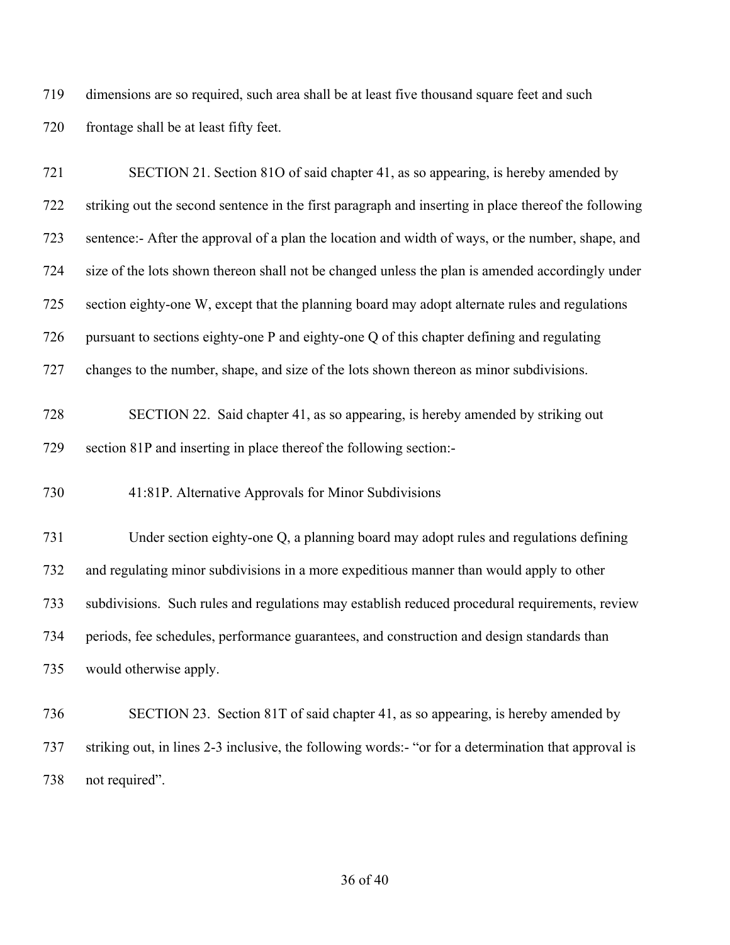dimensions are so required, such area shall be at least five thousand square feet and such frontage shall be at least fifty feet.

| 721 | SECTION 21. Section 81O of said chapter 41, as so appearing, is hereby amended by                    |
|-----|------------------------------------------------------------------------------------------------------|
| 722 | striking out the second sentence in the first paragraph and inserting in place thereof the following |
| 723 | sentence:- After the approval of a plan the location and width of ways, or the number, shape, and    |
| 724 | size of the lots shown thereon shall not be changed unless the plan is amended accordingly under     |
| 725 | section eighty-one W, except that the planning board may adopt alternate rules and regulations       |
| 726 | pursuant to sections eighty-one P and eighty-one Q of this chapter defining and regulating           |
| 727 | changes to the number, shape, and size of the lots shown thereon as minor subdivisions.              |
| 728 | SECTION 22. Said chapter 41, as so appearing, is hereby amended by striking out                      |
| 729 | section 81P and inserting in place thereof the following section:-                                   |
| 730 | 41:81P. Alternative Approvals for Minor Subdivisions                                                 |
| 731 | Under section eighty-one Q, a planning board may adopt rules and regulations defining                |
| 732 | and regulating minor subdivisions in a more expeditious manner than would apply to other             |
| 733 | subdivisions. Such rules and regulations may establish reduced procedural requirements, review       |
| 734 | periods, fee schedules, performance guarantees, and construction and design standards than           |
| 735 | would otherwise apply.                                                                               |
| 736 | SECTION 23. Section 81T of said chapter 41, as so appearing, is hereby amended by                    |
| 737 | striking out, in lines 2-3 inclusive, the following words:- "or for a determination that approval is |
|     |                                                                                                      |

738 not required".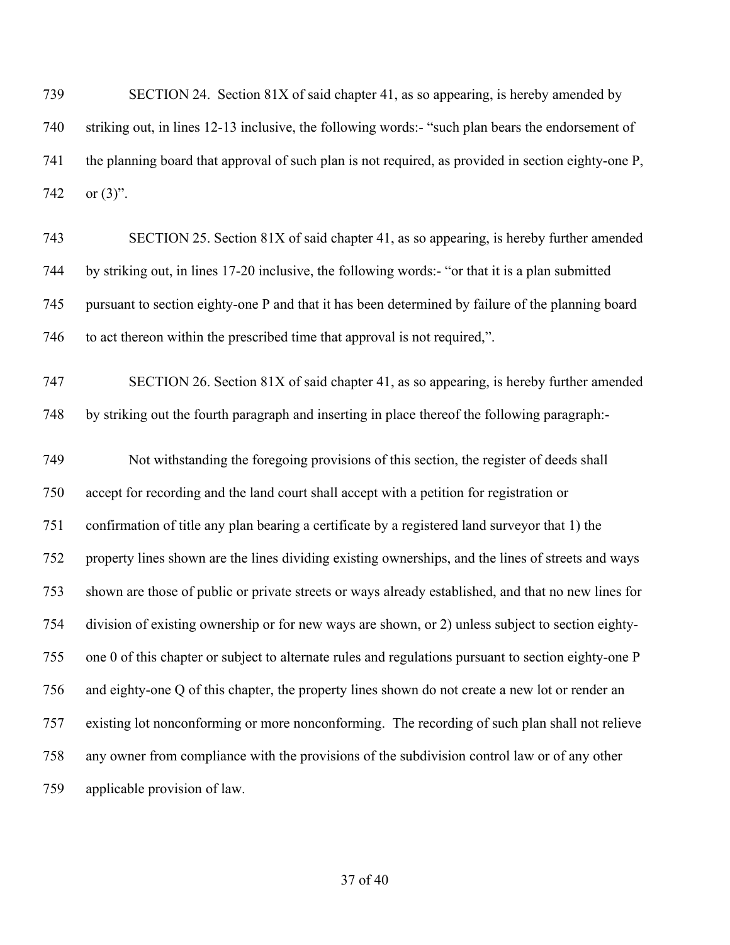SECTION 24. Section 81X of said chapter 41, as so appearing, is hereby amended by striking out, in lines 12-13 inclusive, the following words:- "such plan bears the endorsement of the planning board that approval of such plan is not required, as provided in section eighty-one P, 742 or (3)".

- SECTION 25. Section 81X of said chapter 41, as so appearing, is hereby further amended by striking out, in lines 17-20 inclusive, the following words:- "or that it is a plan submitted pursuant to section eighty-one P and that it has been determined by failure of the planning board to act thereon within the prescribed time that approval is not required,".
- SECTION 26. Section 81X of said chapter 41, as so appearing, is hereby further amended by striking out the fourth paragraph and inserting in place thereof the following paragraph:-

 Not withstanding the foregoing provisions of this section, the register of deeds shall accept for recording and the land court shall accept with a petition for registration or confirmation of title any plan bearing a certificate by a registered land surveyor that 1) the property lines shown are the lines dividing existing ownerships, and the lines of streets and ways shown are those of public or private streets or ways already established, and that no new lines for division of existing ownership or for new ways are shown, or 2) unless subject to section eighty- one 0 of this chapter or subject to alternate rules and regulations pursuant to section eighty-one P and eighty-one Q of this chapter, the property lines shown do not create a new lot or render an existing lot nonconforming or more nonconforming. The recording of such plan shall not relieve any owner from compliance with the provisions of the subdivision control law or of any other applicable provision of law.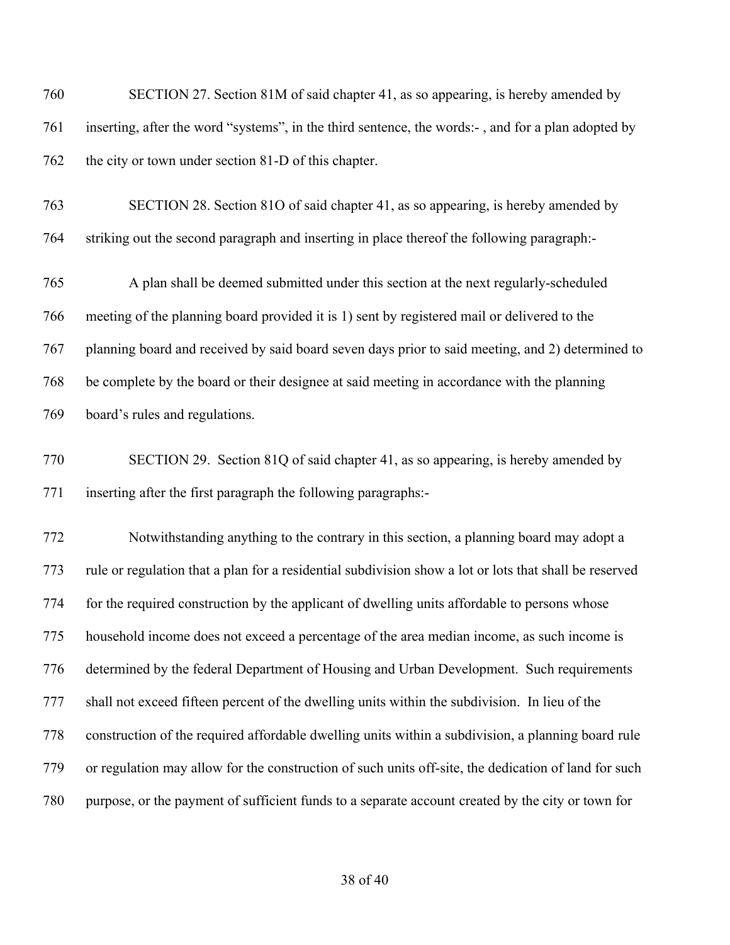SECTION 27. Section 81M of said chapter 41, as so appearing, is hereby amended by inserting, after the word "systems", in the third sentence, the words:- , and for a plan adopted by the city or town under section 81-D of this chapter.

 SECTION 28. Section 81O of said chapter 41, as so appearing, is hereby amended by striking out the second paragraph and inserting in place thereof the following paragraph:-

 A plan shall be deemed submitted under this section at the next regularly-scheduled meeting of the planning board provided it is 1) sent by registered mail or delivered to the planning board and received by said board seven days prior to said meeting, and 2) determined to be complete by the board or their designee at said meeting in accordance with the planning board's rules and regulations.

 SECTION 29. Section 81Q of said chapter 41, as so appearing, is hereby amended by inserting after the first paragraph the following paragraphs:-

 Notwithstanding anything to the contrary in this section, a planning board may adopt a rule or regulation that a plan for a residential subdivision show a lot or lots that shall be reserved for the required construction by the applicant of dwelling units affordable to persons whose household income does not exceed a percentage of the area median income, as such income is determined by the federal Department of Housing and Urban Development. Such requirements shall not exceed fifteen percent of the dwelling units within the subdivision. In lieu of the construction of the required affordable dwelling units within a subdivision, a planning board rule or regulation may allow for the construction of such units off-site, the dedication of land for such purpose, or the payment of sufficient funds to a separate account created by the city or town for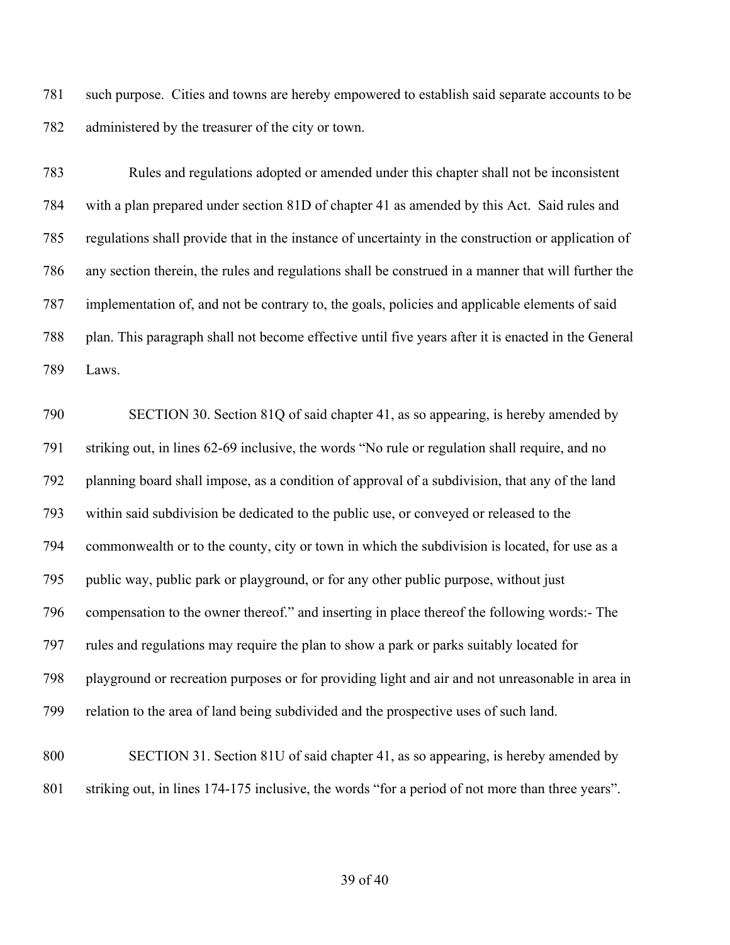such purpose. Cities and towns are hereby empowered to establish said separate accounts to be administered by the treasurer of the city or town.

 Rules and regulations adopted or amended under this chapter shall not be inconsistent with a plan prepared under section 81D of chapter 41 as amended by this Act. Said rules and regulations shall provide that in the instance of uncertainty in the construction or application of any section therein, the rules and regulations shall be construed in a manner that will further the implementation of, and not be contrary to, the goals, policies and applicable elements of said plan. This paragraph shall not become effective until five years after it is enacted in the General Laws.

 SECTION 30. Section 81Q of said chapter 41, as so appearing, is hereby amended by striking out, in lines 62-69 inclusive, the words "No rule or regulation shall require, and no planning board shall impose, as a condition of approval of a subdivision, that any of the land within said subdivision be dedicated to the public use, or conveyed or released to the commonwealth or to the county, city or town in which the subdivision is located, for use as a public way, public park or playground, or for any other public purpose, without just compensation to the owner thereof." and inserting in place thereof the following words:- The rules and regulations may require the plan to show a park or parks suitably located for playground or recreation purposes or for providing light and air and not unreasonable in area in relation to the area of land being subdivided and the prospective uses of such land.

 SECTION 31. Section 81U of said chapter 41, as so appearing, is hereby amended by striking out, in lines 174-175 inclusive, the words "for a period of not more than three years".